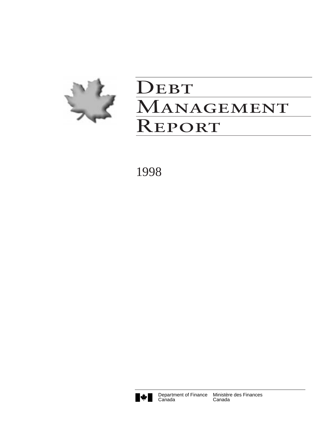

# DEBT MANAGEMENT Report

1998



**Canada**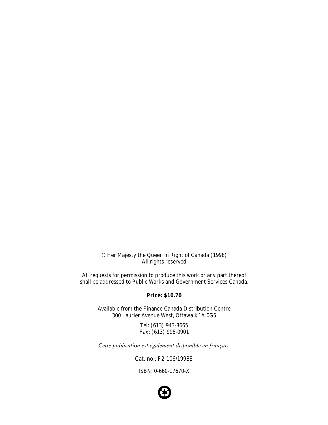© Her Majesty the Queen in Right of Canada (1998) All rights reserved

All requests for permission to produce this work or any part thereof shall be addressed to Public Works and Government Services Canada.

#### **Price: \$10.70**

Available from the Finance Canada Distribution Centre 300 Laurier Avenue West, Ottawa K1A 0G5

> Tel: (613) 943-8665 Fax: (613) 996-0901

*Cette publication est également disponible en français.*

Cat. no.: F2-106/1998E

ISBN: 0-660-17670-X

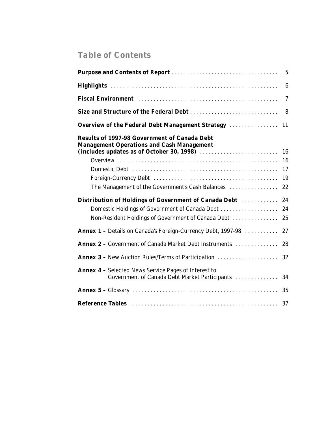# *Table of Contents*

|                                                                                                              | $6\phantom{1}6$ |
|--------------------------------------------------------------------------------------------------------------|-----------------|
|                                                                                                              | $\overline{7}$  |
| Size and Structure of the Federal Debt                                                                       | 8               |
| Overview of the Federal Debt Management Strategy                                                             | 11              |
| <b>Results of 1997-98 Government of Canada Debt</b><br><b>Management Operations and Cash Management</b>      | 16              |
|                                                                                                              | 16              |
|                                                                                                              | 17              |
|                                                                                                              | 19              |
| The Management of the Government's Cash Balances                                                             | 22              |
| Distribution of Holdings of Government of Canada Debt                                                        | 24              |
| Domestic Holdings of Government of Canada Debt                                                               | 24              |
| Non-Resident Holdings of Government of Canada Debt                                                           | 25              |
| Annex 1 - Details on Canada's Foreign-Currency Debt, 1997-98                                                 | 27              |
| <b>Annex 2 - Government of Canada Market Debt Instruments </b>                                               | 28              |
| <b>Annex 3 - New Auction Rules/Terms of Participation </b>                                                   | 32              |
| <b>Annex 4 - Selected News Service Pages of Interest to</b><br>Government of Canada Debt Market Participants | 34              |
|                                                                                                              | 35              |
|                                                                                                              | 37              |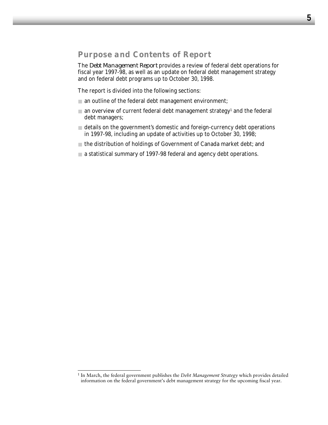## *Purpose and Contents of Report*

The *Debt Management Report* provides a review of federal debt operations for fiscal year 1997-98, as well as an update on federal debt management strategy and on federal debt programs up to October 30, 1998.

The report is divided into the following sections:

- $\Box$  an outline of the federal debt management environment;
- $\Box$  an overview of current federal debt management strategy<sup>1</sup> and the federal debt managers;
- details on the government's domestic and foreign-currency debt operations in 1997-98, including an update of activities up to October 30, 1998;
- the distribution of holdings of Government of Canada market debt; and
- a statistical summary of 1997-98 federal and agency debt operations.

<sup>1</sup> In March, the federal government publishes the *Debt Management Strategy* which provides detailed information on the federal government's debt management strategy for the upcoming fiscal year.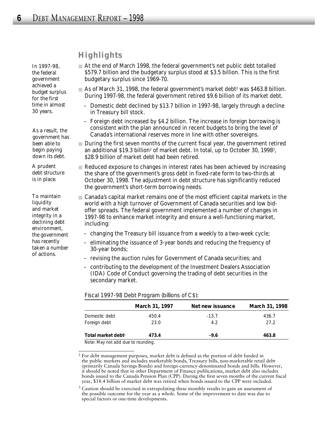*In 1997-98, the federal government achieved a budget surplus for the first time in almost 30 years.*

*As a result, the government has been able to begin paying down its debt.* 

*A prudent debt structure is in place.* 

*To maintain liquidity and market integrity in a declining debt environment, the government has recently taken a number of actions.* 

## *Highlights*

- At the end of March 1998, the federal government's net public debt totalled \$579.7 billion and the budgetary surplus stood at \$3.5 billion. This is the first budgetary surplus since 1969-70.
- As of March 31, 1998, the federal government's market debt<sup>2</sup> was \$463.8 billion. During 1997-98, the federal government retired \$9.6 billion of its market debt.
	- Domestic debt declined by \$13.7 billion in 1997-98, largely through a decline in Treasury bill stock.
	- Foreign debt increased by \$4.2 billion. The increase in foreign borrowing is consistent with the plan announced in recent budgets to bring the level of Canada's international reserves more in line with other sovereigns.
- During the first seven months of the current fiscal year, the government retired an additional \$19.3 billion<sup>2</sup> of market debt. In total, up to October 30, 1998<sup>3</sup>, \$28.9 billion of market debt had been retired.
- Reduced exposure to changes in interest rates has been achieved by increasing the share of the government's gross debt in fixed-rate form to two-thirds at October 30, 1998. The adjustment in debt structure has significantly reduced the government's short-term borrowing needs.
- Canada's capital market remains one of the most efficient capital markets in the world with a high turnover of Government of Canada securities and low bidoffer spreads. The federal government implemented a number of changes in 1997-98 to enhance market integrity and ensure a well-functioning market, including:
	- changing the Treasury bill issuance from a weekly to a two-week cycle;
	- eliminating the issuance of 3-year bonds and reducing the frequency of 30-year bonds;
	- revising the auction rules for Government of Canada securities; and
	- contributing to the development of the Investment Dealers Association (IDA) Code of Conduct governing the trading of debt securities in the secondary market.

|                                | March 31, 1997 | Net new issuance | March 31, 1998 |
|--------------------------------|----------------|------------------|----------------|
| Domestic debt                  | 450.4          | $-13.7$          | 436.7          |
| Foreign debt                   | 23.0           | 4.2              | 27.2           |
| Total market debt <sup>2</sup> | 473.4          | $-9.6$           | 463.8          |

*Fiscal 1997-98 Debt Program (billions of C\$):*

Note: May not add due to rounding.

<sup>2</sup> For debt management purposes, market debt is defined as the portion of debt funded in the public markets and includes marketable bonds, Treasury bills, non-marketable retail debt (primarily Canada Savings Bonds) and foreign-currency-denominated bonds and bills. However, it should be noted that in other Department of Finance publications, market debt also includes bonds issued to the Canada Pension Plan (CPP). During the first seven months of the current fiscal year, \$18.4 billion of market debt was retired when bonds issued to the CPP were included.

<sup>&</sup>lt;sup>3</sup> Caution should be exercised in extrapolating these monthly results to gain an assessment of the possible outcome for the year as a whole. Some of the improvement to date was due to special factors or one-time developments.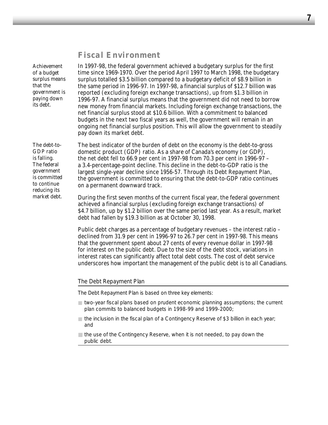## *Fiscal Environment*

*Achievement of a budget surplus means that the government is paying down its debt.* 

In 1997-98, the federal government achieved a budgetary surplus for the first time since 1969-1970. Over the period April 1997 to March 1998, the budgetary surplus totalled \$3.5 billion compared to a budgetary deficit of \$8.9 billion in the same period in 1996-97. In 1997-98, a financial surplus of \$12.7 billion was reported (excluding foreign exchange transactions), up from \$1.3 billion in 1996-97. A financial surplus means that the government did not need to borrow new money from financial markets. Including foreign exchange transactions, the net financial surplus stood at \$10.6 billion. With a commitment to balanced budgets in the next two fiscal years as well, the government will remain in an ongoing net financial surplus position. This will allow the government to steadily pay down its market debt.

The best indicator of the burden of debt on the economy is the debt-to-gross domestic product (GDP) ratio. As a share of Canada's economy (or GDP), the net debt fell to 66.9 per cent in 1997-98 from 70.3 per cent in 1996-97 – a 3.4-percentage-point decline. This decline in the debt-to-GDP ratio is the largest single-year decline since 1956-57. Through its Debt Repayment Plan, the government is committed to ensuring that the debt-to-GDP ratio continues on a permanent downward track.

During the first seven months of the current fiscal year, the federal government achieved a financial surplus (excluding foreign exchange transactions) of \$4.7 billion, up by \$1.2 billion over the same period last year. As a result, market debt had fallen by \$19.3 billion as at October 30, 1998.

Public debt charges as a percentage of budgetary revenues – the interest ratio – declined from 31.9 per cent in 1996-97 to 26.7 per cent in 1997-98. This means that the government spent about 27 cents of every revenue dollar in 1997-98 for interest on the public debt. Due to the size of the debt stock, variations in interest rates can significantly affect total debt costs. The cost of debt service underscores how important the management of the public debt is to all Canadians.

#### *The Debt Repayment Plan*

The Debt Repayment Plan is based on three key elements:

- two-year fiscal plans based on prudent economic planning assumptions; the current plan commits to balanced budgets in 1998-99 and 1999-2000;
- the inclusion in the fiscal plan of a Contingency Reserve of \$3 billion in each year; and
- $\Box$  the use of the Contingency Reserve, when it is not needed, to pay down the public debt.

*The debt-to-GDP ratio is falling. The federal government is committed to continue reducing its market debt.*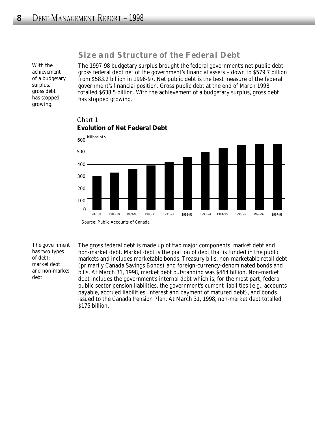## *Size and Structure of the Federal Debt*

*With the achievement of a budgetary surplus, gross debt has stopped growing.*

The 1997-98 budgetary surplus brought the federal government's net public debt – gross federal debt net of the government's financial assets – down to \$579.7 billion from \$583.2 billion in 1996-97. Net public debt is the best measure of the federal government's financial position. Gross public debt at the end of March 1998 totalled \$638.5 billion. With the achievement of a budgetary surplus, gross debt has stopped growing.



#### Chart 1 **Evolution of Net Federal Debt**

*The government has two types of debt: market debt and non-market debt.*

The gross federal debt is made up of two major components: market debt and non-market debt. Market debt is the portion of debt that is funded in the public markets and includes marketable bonds, Treasury bills, non-marketable retail debt (primarily Canada Savings Bonds) and foreign-currency-denominated bonds and bills. At March 31, 1998, market debt outstanding was \$464 billion. Non-market debt includes the government's internal debt which is, for the most part, federal public sector pension liabilities, the government's current liabilities (e.g., accounts payable, accrued liabilities, interest and payment of matured debt), and bonds issued to the Canada Pension Plan. At March 31, 1998, non-market debt totalled \$175 billion.

Source: *Public Accounts of Canada*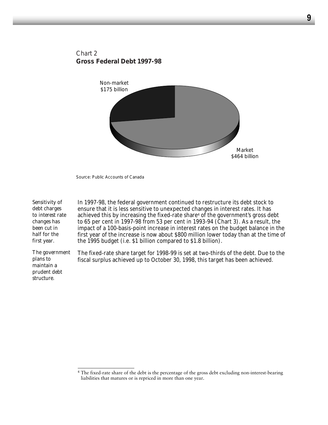## Chart 2 **Gross Federal Debt 1997-98**



Source: *Public Accounts of Canada*

| Sensitivity of                                                         | In 1997-98, the federal government continued to restructure its debt stock to                                                                                          |
|------------------------------------------------------------------------|------------------------------------------------------------------------------------------------------------------------------------------------------------------------|
| debt charges                                                           | ensure that it is less sensitive to unexpected changes in interest rates. It has                                                                                       |
| to interest rate                                                       | achieved this by increasing the fixed-rate share <sup>4</sup> of the government's gross debt                                                                           |
| changes has                                                            | to 65 per cent in 1997-98 from 53 per cent in 1993-94 (Chart 3). As a result, the                                                                                      |
| been cut in                                                            | impact of a 100-basis-point increase in interest rates on the budget balance in the                                                                                    |
| half for the                                                           | first year of the increase is now about \$800 million lower today than at the time of                                                                                  |
| first year.                                                            | the 1995 budget (i.e. \$1 billion compared to \$1.8 billion).                                                                                                          |
| The government<br>plans to<br>maintain a<br>prudent debt<br>structure. | The fixed-rate share target for 1998-99 is set at two-thirds of the debt. Due to the<br>fiscal surplus achieved up to October 30, 1998, this target has been achieved. |

<sup>&</sup>lt;sup>4</sup> The fixed-rate share of the debt is the percentage of the gross debt excluding non-interest-bearing liabilities that matures or is repriced in more than one year.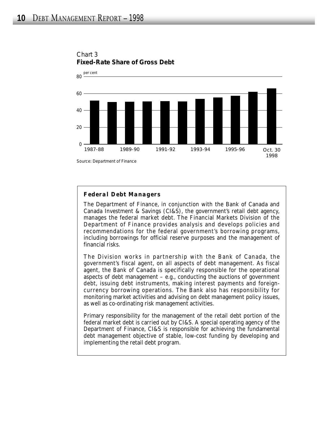

## Chart 3 **Fixed-Rate Share of Gross Debt**

Source: Department of Finance

## *Federal Debt Managers*

The Department of Finance, in conjunction with the Bank of Canada and Canada Investment & Savings (CI&S), the government's retail debt agency, manages the federal market debt. The Financial Markets Division of the Department of Finance provides analysis and develops policies and recommendations for the federal government's borrowing programs, including borrowings for official reserve purposes and the management of financial risks.

The Division works in partnership with the Bank of Canada, the government's fiscal agent, on all aspects of debt management. As fiscal agent, the Bank of Canada is specifically responsible for the operational aspects of debt management – e.g., conducting the auctions of government debt, issuing debt instruments, making interest payments and foreigncurrency borrowing operations. The Bank also has responsibility for monitoring market activities and advising on debt management policy issues, as well as co-ordinating risk management activities.

Primary responsibility for the management of the retail debt portion of the federal market debt is carried out by CI&S. A special operating agency of the Department of Finance, CI&S is responsible for achieving the fundamental debt management objective of stable, low-cost funding by developing and implementing the retail debt program.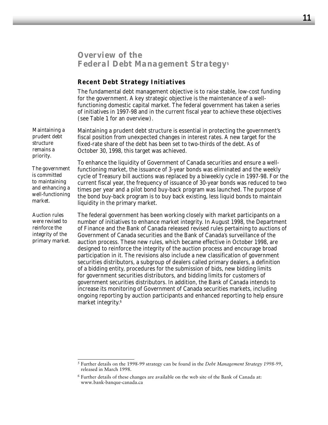## *Overview of the Federal Debt Management Strategy*<sup>5</sup>

#### **Recent Debt Strategy Initiatives**

The fundamental debt management objective is to raise stable, low-cost funding for the government. A key strategic objective is the maintenance of a wellfunctioning domestic capital market. The federal government has taken a series of initiatives in 1997-98 and in the current fiscal year to achieve these objectives (see Table 1 for an overview).

Maintaining a prudent debt structure is essential in protecting the government's fiscal position from unexpected changes in interest rates. A new target for the fixed-rate share of the debt has been set to two-thirds of the debt. As of October 30, 1998, this target was achieved. *Maintaining a prudent debt structure remains a priority.* 

*The government is committed to maintaining and enhancing a well-functioning market.* 

*Auction rules were revised to reinforce the integrity of the primary market.* To enhance the liquidity of Government of Canada securities and ensure a wellfunctioning market, the issuance of 3-year bonds was eliminated and the weekly cycle of Treasury bill auctions was replaced by a biweekly cycle in 1997-98. For the current fiscal year, the frequency of issuance of 30-year bonds was reduced to two times per year and a pilot bond buy-back program was launched. The purpose of the bond buy-back program is to buy back existing, less liquid bonds to maintain liquidity in the primary market.

The federal government has been working closely with market participants on a number of initiatives to enhance market integrity. In August 1998, the Department of Finance and the Bank of Canada released revised rules pertaining to auctions of Government of Canada securities and the Bank of Canada's surveillance of the auction process. These new rules, which became effective in October 1998, are designed to reinforce the integrity of the auction process and encourage broad participation in it. The revisions also include a new classification of government securities distributors, a subgroup of dealers called primary dealers, a definition of a bidding entity, procedures for the submission of bids, new bidding limits for government securities distributors, and bidding limits for customers of government securities distributors. In addition, the Bank of Canada intends to increase its monitoring of Government of Canada securities markets, including ongoing reporting by auction participants and enhanced reporting to help ensure market integrity.6

<sup>5</sup> Further details on the 1998-99 strategy can be found in the *Debt Management Strategy 1998-99*, released in March 1998.

<sup>6</sup> Further details of these changes are available on the web site of the Bank of Canada at: www.bank-banque-canada.ca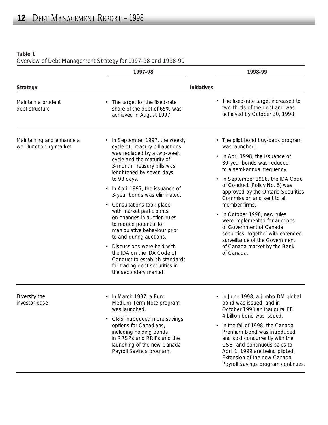**Table 1**

*Overview of Debt Management Strategy for 1997-98 and 1998-99*

|                                                      | 1997-98                                                                                                                                                                      | 1998-99                                                                                                                                                                                                                                                                 |
|------------------------------------------------------|------------------------------------------------------------------------------------------------------------------------------------------------------------------------------|-------------------------------------------------------------------------------------------------------------------------------------------------------------------------------------------------------------------------------------------------------------------------|
| Strategy                                             |                                                                                                                                                                              | Initiatives                                                                                                                                                                                                                                                             |
| Maintain a prudent<br>debt structure                 | • The target for the fixed-rate<br>share of the debt of 65% was<br>achieved in August 1997.                                                                                  | • The fixed-rate target increased to<br>two-thirds of the debt and was<br>achieved by October 30, 1998.                                                                                                                                                                 |
| Maintaining and enhance a<br>well-functioning market | • In September 1997, the weekly<br>cycle of Treasury bill auctions<br>was replaced by a two-week<br>cycle and the maturity of<br>3-month Treasury bills was                  | • The pilot bond buy-back program<br>was launched.<br>In April 1998, the issuance of<br>30-year bonds was reduced                                                                                                                                                       |
|                                                      | lenghtened by seven days                                                                                                                                                     | to a semi-annual frequency.                                                                                                                                                                                                                                             |
|                                                      | to 98 days.<br>• In April 1997, the issuance of<br>3-year bonds was eliminated.                                                                                              | In September 1998, the IDA Code<br>of Conduct (Policy No. 5) was<br>approved by the Ontario Securities<br>Commission and sent to all                                                                                                                                    |
|                                                      | • Consultations took place<br>with market participants                                                                                                                       | member firms.                                                                                                                                                                                                                                                           |
|                                                      | on changes in auction rules<br>to reduce potential for<br>manipulative behaviour prior<br>to and during auctions.                                                            | In October 1998, new rules<br>were implemented for auctions<br>of Government of Canada<br>securities, together with extended                                                                                                                                            |
|                                                      | Discussions were held with<br>$\bullet$<br>the IDA on the IDA Code of<br>Conduct to establish standards<br>for trading debt securities in<br>the secondary market.           | surveillance of the Government<br>of Canada market by the Bank<br>of Canada.                                                                                                                                                                                            |
| Diversify the<br>investor base                       | • In March 1997, a Euro<br>Medium-Term Note program<br>was launched.                                                                                                         | In June 1998, a jumbo DM global<br>bond was issued, and in<br>October 1998 an inaugural FF                                                                                                                                                                              |
|                                                      | • CI&S introduced more savings<br>options for Canadians,<br>including holding bonds<br>in RRSPs and RRIFs and the<br>launching of the new Canada<br>Payroll Savings program. | 4 billion bond was issued.<br>In the fall of 1998, the Canada<br>Premium Bond was introduced<br>and sold concurrently with the<br>CSB, and continuous sales to<br>April 1, 1999 are being piloted.<br>Extension of the new Canada<br>Payroll Savings program continues. |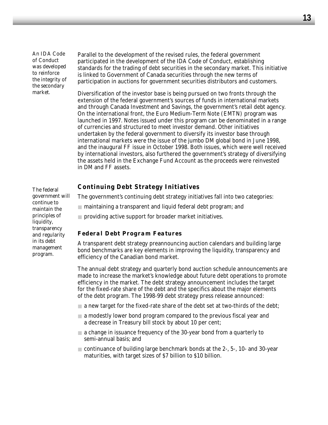*An IDA Code of Conduct was developed to reinforce the integrity of the secondary market.* 

Parallel to the development of the revised rules, the federal government participated in the development of the IDA Code of Conduct, establishing standards for the trading of debt securities in the secondary market. This initiative is linked to Government of Canada securities through the new terms of participation in auctions for government securities distributors and customers.

Diversification of the investor base is being pursued on two fronts through the extension of the federal government's sources of funds in international markets and through Canada Investment and Savings, the government's retail debt agency. On the international front, the Euro Medium-Term Note (EMTN) program was launched in 1997. Notes issued under this program can be denominated in a range of currencies and structured to meet investor demand. Other initiatives undertaken by the federal government to diversify its investor base through international markets were the issue of the jumbo DM global bond in June 1998, and the inaugural FF issue in October 1998. Both issues, which were well received by international investors, also furthered the government's strategy of diversifying the assets held in the Exchange Fund Account as the proceeds were reinvested in DM and FF assets.

## **Continuing Debt Strategy Initiatives**

The government's continuing debt strategy initiatives fall into two categories:

- $\Box$  maintaining a transparent and liquid federal debt program; and
- $\Box$  providing active support for broader market initiatives.

#### *Federal Debt Program Features*

A transparent debt strategy preannouncing auction calendars and building large bond benchmarks are key elements in improving the liquidity, transparency and efficiency of the Canadian bond market.

The annual debt strategy and quarterly bond auction schedule announcements are made to increase the market's knowledge about future debt operations to promote efficiency in the market. The debt strategy announcement includes the target for the fixed-rate share of the debt and the specifics about the major elements of the debt program. The 1998-99 debt strategy press release announced:

- $\blacksquare$  a new target for the fixed-rate share of the debt set at two-thirds of the debt;
- a modestly lower bond program compared to the previous fiscal year and a decrease in Treasury bill stock by about 10 per cent;
- a change in issuance frequency of the 30-year bond from a quarterly to semi-annual basis; and
- continuance of building large benchmark bonds at the 2-, 5-, 10- and 30-year maturities, with target sizes of \$7 billion to \$10 billion.

*The federal government will continue to maintain the principles of liquidity, transparency and regularity in its debt management program.*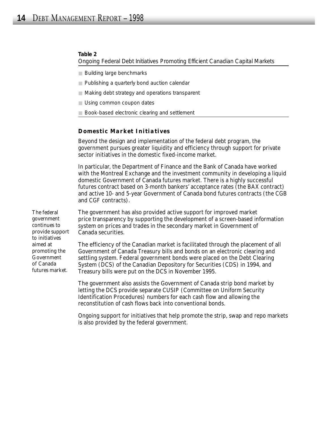#### **Table 2**

*Ongoing Federal Debt Initiatives Promoting Efficient Canadian Capital Markets* 

- Building large benchmarks
- Publishing a quarterly bond auction calendar
- Making debt strategy and operations transparent
- Using common coupon dates
- Book-based electronic clearing and settlement

#### *Domestic Market Initiatives*

Beyond the design and implementation of the federal debt program, the government pursues greater liquidity and efficiency through support for private sector initiatives in the domestic fixed-income market.

In particular, the Department of Finance and the Bank of Canada have worked with the Montreal Exchange and the investment community in developing a liquid domestic Government of Canada futures market. There is a highly successful futures contract based on 3-month bankers' acceptance rates (the BAX contract) and active 10- and 5-year Government of Canada bond futures contracts (the CGB and CGF contracts).

The government has also provided active support for improved market price transparency by supporting the development of a screen-based information system on prices and trades in the secondary market in Government of Canada securities.

The efficiency of the Canadian market is facilitated through the placement of all Government of Canada Treasury bills and bonds on an electronic clearing and settling system. Federal government bonds were placed on the Debt Clearing System (DCS) of the Canadian Depository for Securities (CDS) in 1994, and Treasury bills were put on the DCS in November 1995.

The government also assists the Government of Canada strip bond market by letting the DCS provide separate CUSIP (Committee on Uniform Security Identification Procedures) numbers for each cash flow and allowing the reconstitution of cash flows back into conventional bonds.

Ongoing support for initiatives that help promote the strip, swap and repo markets is also provided by the federal government.

*The federal government continues to provide support to initiatives aimed at promoting the Government of Canada futures market.*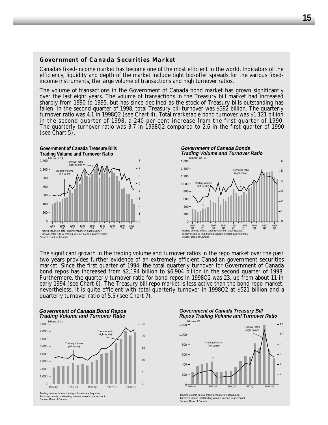#### *Government of Canada Securities Market*

Canada's fixed-income market has become one of the most efficient in the world. Indicators of the efficiency, liquidity and depth of the market include tight bid-offer spreads for the various fixedincome instruments, the large volume of transactions and high turnover ratios.

The volume of transactions in the Government of Canada bond market has grown significantly over the last eight years. The volume of transactions in the Treasury bill market had increased sharply from 1990 to 1995, but has since declined as the stock of Treasury bills outstanding has fallen. In the second quarter of 1998, total Treasury bill turnover was \$392 billion. The quarterly turnover ratio was 4.1 in 1998Q2 (see Chart 4). Total marketable bond turnover was \$1,121 billion in the second quarter of 1998, a 240-per-cent increase from the first quarter of 1990. The quarterly turnover ratio was 3.7 in 1998Q2 compared to 2.6 in the first quarter of 1990 (see Chart 5).



The significant growth in the trading volume and turnover ratios in the repo market over the past two years provides further evidence of an extremely efficient Canadian government securities market. Since the first quarter of 1994, the total quarterly turnover for Government of Canada bond repos has increased from \$2,194 billion to \$6,904 billion in the second quarter of 1998. Furthermore, the quarterly turnover ratio for bond repos in 1998Q2 was 23, up from about 11 in early 1994 (see Chart 6). The Treasury bill repo market is less active than the bond repo market; nevertheless, it is quite efficient with total quarterly turnover in 1998Q2 at \$521 billion and a quarterly turnover ratio of 5.5 (see Chart 7).

#### **Government of Canada Bond Repos Trading Volume and Turnover Ratio**



Tratio is total trading volume in each quarter/stock. Source: Bank of Canada

**Government of Canada Treasury Bill Repos Trading Volume and Turnover Ratio**



Trading volume is total trading volume in each qu Turnover ratio is total trading volume in each quarter/stock. Source: Bank of Canada

 $\Omega$ 1

 $-2$ - 3  $-4$  $-5$ 6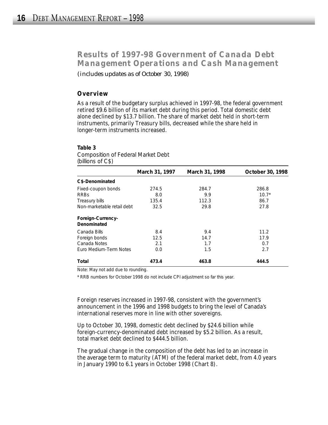# *Results of 1997-98 Government of Canada Debt Management Operations and Cash Management*

*(includes updates as of October 30, 1998)*

## **Overview**

As a result of the budgetary surplus achieved in 1997-98, the federal government retired \$9.6 billion of its market debt during this period. Total domestic debt alone declined by \$13.7 billion. The share of market debt held in short-term instruments, primarily Treasury bills, decreased while the share held in longer-term instruments increased.

#### **Table 3**

*Composition of Federal Market Debt (billions of C\$)*

|                                   | March 31, 1997 | March 31, 1998 | October 30, 1998 |
|-----------------------------------|----------------|----------------|------------------|
| C\$-Denominated                   |                |                |                  |
| Fixed-coupon bonds<br><b>RRBS</b> | 274.5<br>8.0   | 284.7<br>9.9   | 286.8<br>$10.7*$ |
| Treasury bills                    | 135.4          | 112.3          | 86.7             |
| Non-marketable retail debt        | 32.5           | 29.8           | 27.8             |
| Foreign-Currency-<br>Denominated  |                |                |                  |
| Canada Bills                      | 8.4            | 9.4            | 11.2             |
| Foreign bonds                     | 12.5           | 14.7           | 17.9             |
| Canada Notes                      | 2.1            | 1.7            | 0.7              |
| Euro Medium-Term Notes            | 0.0            | 1.5            | 2.7              |
| Total                             | 473.4          | 463.8          | 444.5            |

Note: May not add due to rounding.

\* RRB numbers for October 1998 do not include CPI adjustment so far this year.

Foreign reserves increased in 1997-98, consistent with the government's announcement in the 1996 and 1998 budgets to bring the level of Canada's international reserves more in line with other sovereigns.

Up to October 30, 1998, domestic debt declined by \$24.6 billion while foreign-currency-denominated debt increased by \$5.2 billion. As a result, total market debt declined to \$444.5 billion.

The gradual change in the composition of the debt has led to an increase in the average term to maturity (ATM) of the federal market debt, from 4.0 years in January 1990 to 6.1 years in October 1998 (Chart 8).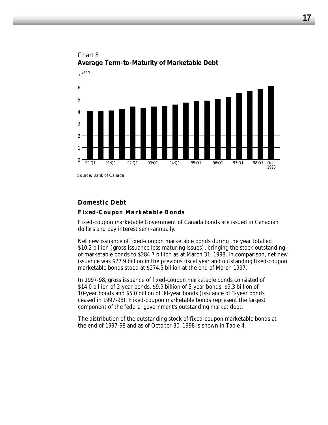



## **Domestic Debt**

Source: Bank of Canada

#### *Fixed-Coupon Marketable Bonds*

Fixed-coupon marketable Government of Canada bonds are issued in Canadian dollars and pay interest semi-annually.

Net new issuance of fixed-coupon marketable bonds during the year totalled \$10.2 billion (gross issuance less maturing issues), bringing the stock outstanding of marketable bonds to \$284.7 billion as at March 31, 1998. In comparison, net new issuance was \$27.9 billion in the previous fiscal year and outstanding fixed-coupon marketable bonds stood at \$274.5 billion at the end of March 1997.

In 1997-98, gross issuance of fixed-coupon marketable bonds consisted of \$14.0 billion of 2-year bonds, \$9.9 billion of 5-year bonds, \$9.3 billion of 10-year bonds and \$5.0 billion of 30-year bonds (issuance of 3-year bonds ceased in 1997-98). Fixed-coupon marketable bonds represent the largest component of the federal government's outstanding market debt.

The distribution of the outstanding stock of fixed-coupon marketable bonds at the end of 1997-98 and as of October 30, 1998 is shown in Table 4.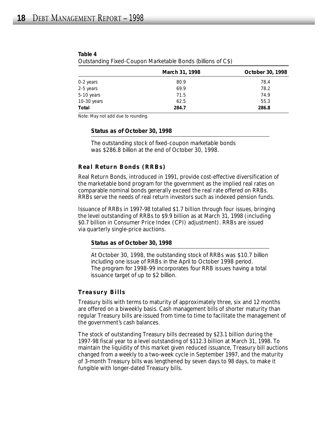|             | March 31, 1998 | October 30, 1998 |
|-------------|----------------|------------------|
| 0-2 years   | 80.9           | 78.4             |
| 2-5 years   | 69.9           | 78.2             |
| 5-10 years  | 71.5           | 74.9             |
| 10-30 years | 62.5           | 55.3             |
| Total       | 284.7          | 286.8            |

| Table 4                                                     |  |  |
|-------------------------------------------------------------|--|--|
| Outstanding Fixed-Coupon Marketable Bonds (billions of C\$) |  |  |

Note: May not add due to rounding.

#### **Status as of October 30, 1998**

*The outstanding stock of fixed-coupon marketable bonds was \$286.8 billion at the end of October 30, 1998.*

#### *Real Return Bonds (RRBs)*

Real Return Bonds, introduced in 1991, provide cost-effective diversification of the marketable bond program for the government as the implied real rates on comparable nominal bonds generally exceed the real rate offered on RRBs. RRBs serve the needs of real return investors such as indexed pension funds.

Issuance of RRBs in 1997-98 totalled \$1.7 billion through four issues, bringing the level outstanding of RRBs to \$9.9 billion as at March 31, 1998 (including \$0.7 billion in Consumer Price Index (CPI) adjustment). RRBs are issued via quarterly single-price auctions.

#### **Status as of October 30, 1998**

*At October 30, 1998, the outstanding stock of RRBs was \$10.7 billion including one issue of RRBs in the April to October 1998 period. The program for 1998-99 incorporates four RRB issues having a total issuance target of up to \$2 billion.*

#### *Treasury Bills*

Treasury bills with terms to maturity of approximately three, six and 12 months are offered on a biweekly basis. Cash management bills of shorter maturity than regular Treasury bills are issued from time to time to facilitate the management of the government's cash balances.

The stock of outstanding Treasury bills decreased by \$23.1 billion during the 1997-98 fiscal year to a level outstanding of \$112.3 billion at March 31, 1998. To maintain the liquidity of this market given reduced issuance, Treasury bill auctions changed from a weekly to a two-week cycle in September 1997, and the maturity of 3-month Treasury bills was lengthened by seven days to 98 days, to make it fungible with longer-dated Treasury bills.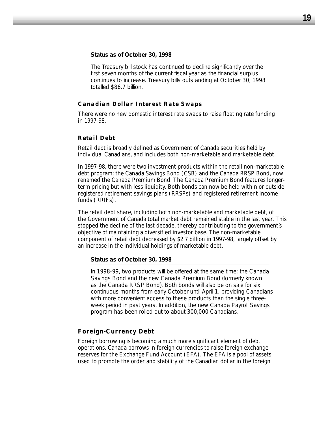#### **Status as of October 30, 1998**

*The Treasury bill stock has continued to decline significantly over the first seven months of the current fiscal year as the financial surplus continues to increase. Treasury bills outstanding at October 30, 1998 totalled \$86.7 billion.*

#### *Canadian Dollar Interest Rate Swaps*

There were no new domestic interest rate swaps to raise floating rate funding in 1997-98.

#### *Retail Debt*

Retail debt is broadly defined as Government of Canada securities held by individual Canadians, and includes both non-marketable and marketable debt.

In 1997-98, there were two investment products within the retail non-marketable debt program: the Canada Savings Bond (CSB) and the Canada RRSP Bond, now renamed the Canada Premium Bond. The Canada Premium Bond features longerterm pricing but with less liquidity. Both bonds can now be held within or outside registered retirement savings plans (RRSPs) and registered retirement income funds (RRIFs).

The retail debt share, including both non-marketable and marketable debt, of the Government of Canada total market debt remained stable in the last year. This stopped the decline of the last decade, thereby contributing to the government's objective of maintaining a diversified investor base. The non-marketable component of retail debt decreased by \$2.7 billion in 1997-98, largely offset by an increase in the individual holdings of marketable debt.

#### **Status as of October 30, 1998**

*In 1998-99, two products will be offered at the same time: the Canada Savings Bond and the new Canada Premium Bond (formerly known as the Canada RRSP Bond). Both bonds will also be on sale for six continuous months from early October until April 1, providing Canadians with more convenient access to these products than the single threeweek period in past years. In addition, the new Canada Payroll Savings program has been rolled out to about 300,000 Canadians.* 

#### **Foreign-Currency Debt**

Foreign borrowing is becoming a much more significant element of debt operations. Canada borrows in foreign currencies to raise foreign exchange reserves for the Exchange Fund Account (EFA). The EFA is a pool of assets used to promote the order and stability of the Canadian dollar in the foreign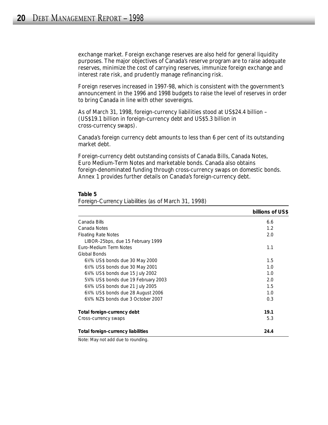exchange market. Foreign exchange reserves are also held for general liquidity purposes. The major objectives of Canada's reserve program are to raise adequate reserves, minimize the cost of carrying reserves, immunize foreign exchange and interest rate risk, and prudently manage refinancing risk.

Foreign reserves increased in 1997-98, which is consistent with the government's announcement in the 1996 and 1998 budgets to raise the level of reserves in order to bring Canada in line with other sovereigns.

As of March 31, 1998, foreign-currency liabilities stood at US\$24.4 billion – (US\$19.1 billion in foreign-currency debt and US\$5.3 billion in cross-currency swaps).

Canada's foreign currency debt amounts to less than 6 per cent of its outstanding market debt.

Foreign-currency debt outstanding consists of Canada Bills, Canada Notes, Euro Medium-Term Notes and marketable bonds. Canada also obtains foreign-denominated funding through cross-currency swaps on domestic bonds. Annex 1 provides further details on Canada's foreign-currency debt.

|                                     | billions of US\$ |
|-------------------------------------|------------------|
| Canada Bills                        | 6.6              |
| Canada Notes                        | 1.2              |
| <b>Floating Rate Notes</b>          | 2.0              |
| LIBOR-25bps, due 15 February 1999   |                  |
| Euro-Medium Term Notes              | 1.1              |
| Global Bonds                        |                  |
| 6½% US\$ bonds due 30 May 2000      | 1.5              |
| 6½% US\$ bonds due 30 May 2001      | 1.0              |
| 6%% US\$ bonds due 15 July 2002     | 1.0              |
| 5%% US\$ bonds due 19 February 2003 | 2.0              |
| 6%% US\$ bonds due 21 July 2005     | 1.5              |
| 634% US\$ bonds due 28 August 2006  | 1.0              |
| 6%% NZ\$ bonds due 3 October 2007   | 0.3              |
| Total foreign-currency debt         | 19.1             |
| Cross-currency swaps                | 5.3              |
| Total foreign-currency liabilities  | 24.4             |

#### **Table 5**

*Foreign-Currency Liabilities (as of March 31, 1998)*

Note: May not add due to rounding.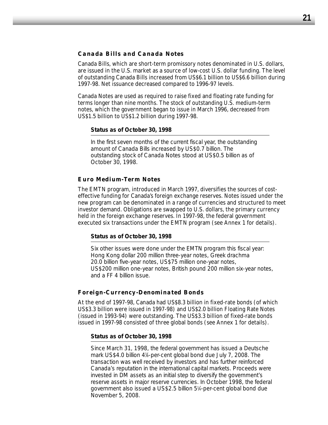#### *Canada Bills and Canada Notes*

Canada Bills, which are short-term promissory notes denominated in U.S. dollars, are issued in the U.S. market as a source of low-cost U.S. dollar funding. The level of outstanding Canada Bills increased from US\$6.1 billion to US\$6.6 billion during 1997-98. Net issuance decreased compared to 1996-97 levels.

Canada Notes are used as required to raise fixed and floating rate funding for terms longer than nine months. The stock of outstanding U.S. medium-term notes, which the government began to issue in March 1996, decreased from US\$1.5 billion to US\$1.2 billion during 1997-98.

#### **Status as of October 30, 1998**

*In the first seven months of the current fiscal year, the outstanding amount of Canada Bills increased by US\$0.7 billion. The outstanding stock of Canada Notes stood at US\$0.5 billion as of October 30, 1998.*

#### *Euro Medium-Term Notes*

The EMTN program, introduced in March 1997, diversifies the sources of costeffective funding for Canada's foreign exchange reserves. Notes issued under the new program can be denominated in a range of currencies and structured to meet investor demand. Obligations are swapped to U.S. dollars, the primary currency held in the foreign exchange reserves. In 1997-98, the federal government executed six transactions under the EMTN program (see Annex 1 for details).

#### **Status as of October 30, 1998**

*Six other issues were done under the EMTN program this fiscal year: Hong Kong dollar 200 million three-year notes, Greek drachma 20.0 billion five-year notes, US\$75 million one-year notes, US\$200 million one-year notes, British pound 200 million six-year notes, and a FF 4 billion issue.*

#### *Foreign-Currency-Denominated Bonds*

At the end of 1997-98, Canada had US\$8.3 billion in fixed-rate bonds (of which US\$3.3 billion were issued in 1997-98) and US\$2.0 billion Floating Rate Notes (issued in 1993-94) were outstanding. The US\$3.3 billion of fixed-rate bonds issued in 1997-98 consisted of three global bonds (see Annex 1 for details).

#### **Status as of October 30, 1998**

*Since March 31, 1998, the federal government has issued a Deutsche mark US\$4.0 billion 47 ⁄8-per-cent global bond due July 7, 2008. The transaction was well received by investors and has further reinforced Canada's reputation in the international capital markets. Proceeds were invested in DM assets as an initial step to diversify the government's reserve assets in major reserve currencies. In October 1998, the federal government also issued a US\$2.5 billion 51 ⁄4-per-cent global bond due November 5, 2008.*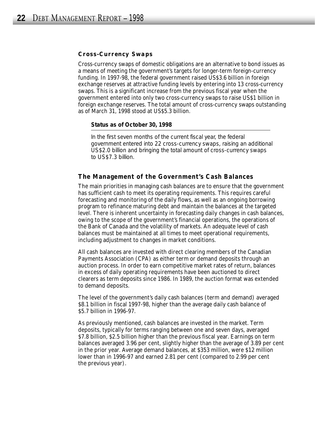#### *Cross-Currency Swaps*

Cross-currency swaps of domestic obligations are an alternative to bond issues as a means of meeting the government's targets for longer-term foreign-currency funding. In 1997-98, the federal government raised US\$3.6 billion in foreign exchange reserves at attractive funding levels by entering into 13 cross-currency swaps. This is a significant increase from the previous fiscal year when the government entered into only two cross-currency swaps to raise US\$1 billion in foreign exchange reserves. The total amount of cross-currency swaps outstanding as of March 31, 1998 stood at US\$5.3 billion.

#### **Status as of October 30, 1998**

*In the first seven months of the current fiscal year, the federal government entered into 22 cross-currency swaps, raising an additional US\$2.0 billion and bringing the total amount of cross-currency swaps to US\$7.3 billion.* 

#### **The Management of the Government's Cash Balances**

The main priorities in managing cash balances are to ensure that the government has sufficient cash to meet its operating requirements. This requires careful forecasting and monitoring of the daily flows, as well as an ongoing borrowing program to refinance maturing debt and maintain the balances at the targeted level. There is inherent uncertainty in forecasting daily changes in cash balances, owing to the scope of the government's financial operations, the operations of the Bank of Canada and the volatility of markets. An adequate level of cash balances must be maintained at all times to meet operational requirements, including adjustment to changes in market conditions.

All cash balances are invested with direct clearing members of the Canadian Payments Association (CPA) as either term or demand deposits through an auction process. In order to earn competitive market rates of return, balances in excess of daily operating requirements have been auctioned to direct clearers as term deposits since 1986. In 1989, the auction format was extended to demand deposits.

The level of the government's daily cash balances (term and demand) averaged \$8.1 billion in fiscal 1997-98, higher than the average daily cash balance of \$5.7 billion in 1996-97.

As previously mentioned, cash balances are invested in the market. Term deposits, typically for terms ranging between one and seven days, averaged \$7.8 billion, \$2.5 billion higher than the previous fiscal year. Earnings on term balances averaged 3.96 per cent, slightly higher than the average of 3.89 per cent in the prior year. Average demand balances, at \$353 million, were \$12 million lower than in 1996-97 and earned 2.81 per cent (compared to 2.99 per cent the previous year).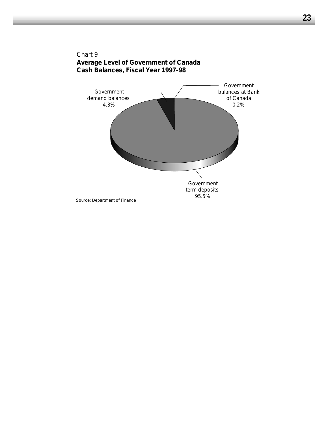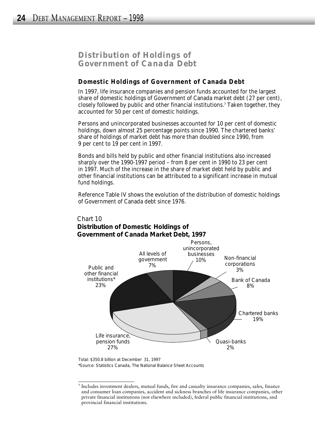## *Distribution of Holdings of Government of Canada Debt*

## **Domestic Holdings of Government of Canada Debt**

In 1997, life insurance companies and pension funds accounted for the largest share of domestic holdings of Government of Canada market debt (27 per cent), closely followed by public and other financial institutions.<sup>7</sup> Taken together, they accounted for 50 per cent of domestic holdings.

Persons and unincorporated businesses accounted for 10 per cent of domestic holdings, down almost 25 percentage points since 1990. The chartered banks' share of holdings of market debt has more than doubled since 1990, from 9 per cent to 19 per cent in 1997.

Bonds and bills held by public and other financial institutions also increased sharply over the 1990-1997 period – from 8 per cent in 1990 to 23 per cent in 1997. Much of the increase in the share of market debt held by public and other financial institutions can be attributed to a significant increase in mutual fund holdings.

Reference Table IV shows the evolution of the distribution of domestic holdings of Government of Canada debt since 1976.

#### Persons, unincorporated businesses 10% Non-financial corporations 3% Bank of Canada 8% Chartered banks 19% Quasi-banks 2% Life insurance, pension funds 27% Public and other financial institutions\* 23% All levels of government 7%

## Chart 10 **Distribution of Domestic Holdings of Government of Canada Market Debt, 1997**

\*Source: Statistics Canada, *The National Balance Sheet Accounts*  Total: \$350.8 billion at December 31, 1997

<sup>7</sup> Includes investment dealers, mutual funds, fire and casualty insurance companies, sales, finance and consumer loan companies, accident and sickness branches of life insurance companies, other private financial institutions (not elsewhere included), federal public financial institutions, and provincial financial institutions.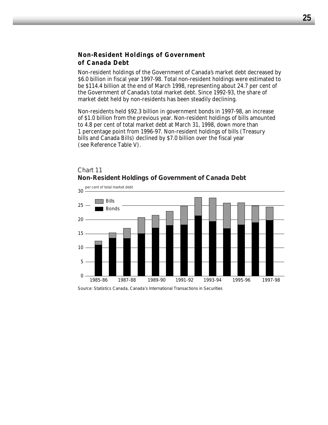## **Non-Resident Holdings of Government of Canada Debt**

Non-resident holdings of the Government of Canada's market debt decreased by \$6.0 billion in fiscal year 1997-98. Total non-resident holdings were estimated to be \$114.4 billion at the end of March 1998, representing about 24.7 per cent of the Government of Canada's total market debt. Since 1992-93, the share of market debt held by non-residents has been steadily declining.

Non-residents held \$92.3 billion in government bonds in 1997-98, an increase of \$1.0 billion from the previous year. Non-resident holdings of bills amounted to 4.8 per cent of total market debt at March 31, 1998, down more than 1 percentage point from 1996-97. Non-resident holdings of bills (Treasury bills and Canada Bills) declined by \$7.0 billion over the fiscal year (see Reference Table V).

## Chart 11 **Non-Resident Holdings of Government of Canada Debt**



Source: Statistics Canada, *Canada's International Transactions in Securities*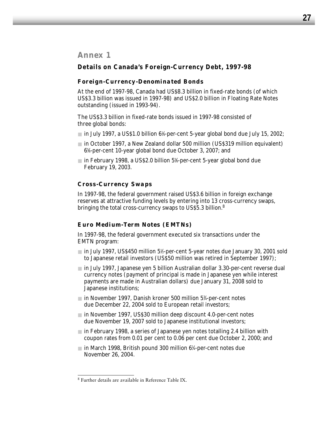## *Annex 1*

## **Details on Canada's Foreign-Currency Debt, 1997-98**

#### *Foreign-Currency-Denominated Bonds*

At the end of 1997-98, Canada had US\$8.3 billion in fixed-rate bonds (of which US\$3.3 billion was issued in 1997-98) and US\$2.0 billion in Floating Rate Notes outstanding (issued in 1993-94).

The US\$3.3 billion in fixed-rate bonds issued in 1997-98 consisted of three global bonds:

- in July 1997, a US\$1.0 billion 6%-per-cent 5-year global bond due July 15, 2002;
- in October 1997, a New Zealand dollar 500 million (US\$319 million equivalent) 65 ⁄8-per-cent 10-year global bond due October 3, 2007; and
- in February 1998, a US\$2.0 billion 5%-per-cent 5-year global bond due February 19, 2003.

## *Cross-Currency Swaps*

In 1997-98, the federal government raised US\$3.6 billion in foreign exchange reserves at attractive funding levels by entering into 13 cross-currency swaps, bringing the total cross-currency swaps to US\$5.3 billion.<sup>8</sup>

#### *Euro Medium-Term Notes (EMTNs)*

In 1997-98, the federal government executed six transactions under the EMTN program:

- in July 1997, US\$450 million 5½-per-cent 5-year notes due January 30, 2001 sold to Japanese retail investors (US\$50 million was retired in September 1997);
- in July 1997, Japanese yen 5 billion Australian dollar 3.30-per-cent reverse dual currency notes (payment of principal is made in Japanese yen while interest payments are made in Australian dollars) due January 31, 2008 sold to Japanese institutions;
- in November 1997, Danish kroner 500 million 5¾-per-cent notes due December 22, 2004 sold to European retail investors;
- in November 1997, US\$30 million deep discount 4.0-per-cent notes due November 19, 2007 sold to Japanese institutional investors;
- in February 1998, a series of Japanese yen notes totalling 2.4 billion with coupon rates from 0.01 per cent to 0.06 per cent due October 2, 2000; and
- in March 1998, British pound 300 million 61 ⁄4-per-cent notes due November 26, 2004.

<sup>8</sup> Further details are available in Reference Table IX.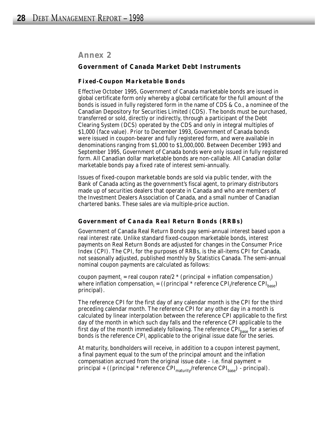## *Annex 2*

#### **Government of Canada Market Debt Instruments**

#### *Fixed-Coupon Marketable Bonds*

Effective October 1995, Government of Canada marketable bonds are issued in global certificate form only whereby a global certificate for the full amount of the bonds is issued in fully registered form in the name of CDS & Co., a nominee of the Canadian Depository for Securities Limited (CDS). The bonds must be purchased, transferred or sold, directly or indirectly, through a participant of the Debt Clearing System (DCS) operated by the CDS and only in integral multiples of \$1,000 (face value). Prior to December 1993, Government of Canada bonds were issued in coupon-bearer and fully registered form, and were available in denominations ranging from \$1,000 to \$1,000,000. Between December 1993 and September 1995, Government of Canada bonds were only issued in fully registered form. All Canadian dollar marketable bonds are non-callable. All Canadian dollar marketable bonds pay a fixed rate of interest semi-annually.

Issues of fixed-coupon marketable bonds are sold via public tender, with the Bank of Canada acting as the government's fiscal agent, to primary distributors made up of securities dealers that operate in Canada and who are members of the Investment Dealers Association of Canada, and a small number of Canadian chartered banks. These sales are via multiple-price auction.

#### *Government of Canada Real Return Bonds (RRBs)*

Government of Canada Real Return Bonds pay semi-annual interest based upon a real interest rate. Unlike standard fixed-coupon marketable bonds, interest payments on Real Return Bonds are adjusted for changes in the Consumer Price Index (CPI). The CPI, for the purposes of RRBs, is the all-items CPI for Canada, not seasonally adjusted, published monthly by Statistics Canada. The semi-annual nominal coupon payments are calculated as follows:

coupon payment<sub>i</sub> = real coupon rate/2  $*$  (principal + inflation compensation<sub>i</sub>) where inflation compensation<sub>i</sub> = ((principal \* reference CPI<sub>i</sub>/reference CPI<sub>base</sub>) principal).

The reference CPI for the first day of any calendar month is the CPI for the third preceding calendar month. The reference CPI for any other day in a month is calculated by linear interpolation between the reference CPI applicable to the first day of the month in which such day falls and the reference CPI applicable to the first day of the month immediately following. The reference  $\text{CPI}_{\text{base}}$  for a series of bonds is the reference CPI<sub>i</sub> applicable to the original issue date for the series.

At maturity, bondholders will receive, in addition to a coupon interest payment, a final payment equal to the sum of the principal amount and the inflation compensation accrued from the original issue date – i.e. final payment = principal + ((principal \* reference  $\text{CPI}_{\text{matrix}}/\text{reference } \text{CPI}_{\text{base}}$ ) - principal).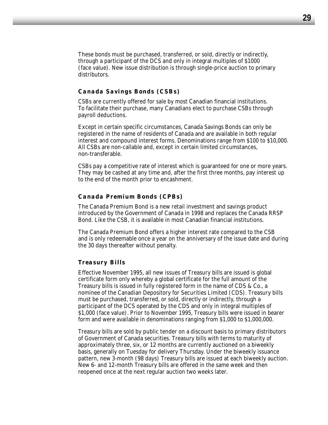These bonds must be purchased, transferred, or sold, directly or indirectly, through a participant of the DCS and only in integral multiples of \$1000 (face value). New issue distribution is through single-price auction to primary distributors.

#### *Canada Savings Bonds (CSBs)*

CSBs are currently offered for sale by most Canadian financial institutions. To facilitate their purchase, many Canadians elect to purchase CSBs through payroll deductions.

Except in certain specific circumstances, Canada Savings Bonds can only be registered in the name of residents of Canada and are available in both regular interest and compound interest forms. Denominations range from \$100 to \$10,000. All CSBs are non-callable and, except in certain limited circumstances, non-transferable.

CSBs pay a competitive rate of interest which is guaranteed for one or more years. They may be cashed at any time and, after the first three months, pay interest up to the end of the month prior to encashment.

#### *Canada Premium Bonds (CPBs)*

The Canada Premium Bond is a new retail investment and savings product introduced by the Government of Canada in 1998 and replaces the Canada RRSP Bond. Like the CSB, it is available in most Canadian financial institutions.

The Canada Premium Bond offers a higher interest rate compared to the CSB and is only redeemable once a year on the anniversary of the issue date and during the 30 days thereafter without penalty.

#### *Treasury Bills*

Effective November 1995, all new issues of Treasury bills are issued is global certificate form only whereby a global certificate for the full amount of the Treasury bills is issued in fully registered form in the name of CDS & Co., a nominee of the Canadian Depository for Securities Limited (CDS). Treasury bills must be purchased, transferred, or sold, directly or indirectly, through a participant of the DCS operated by the CDS and only in integral multiples of \$1,000 (face value). Prior to November 1995, Treasury bills were issued in bearer form and were available in denominations ranging from \$1,000 to \$1,000,000.

Treasury bills are sold by public tender on a discount basis to primary distributors of Government of Canada securities. Treasury bills with terms to maturity of approximately three, six, or 12 months are currently auctioned on a biweekly basis, generally on Tuesday for delivery Thursday. Under the biweekly issuance pattern, new 3-month (98 days) Treasury bills are issued at each biweekly auction. New 6- and 12-month Treasury bills are offered in the same week and then reopened once at the next regular auction two weeks later.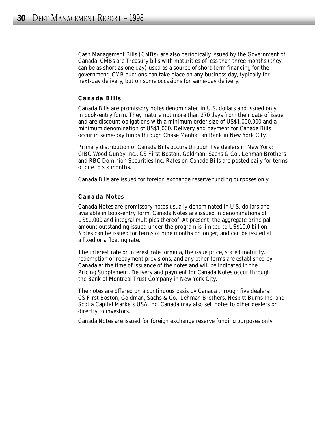Cash Management Bills (CMBs) are also periodically issued by the Government of Canada. CMBs are Treasury bills with maturities of less than three months (they can be as short as one day) used as a source of short-term financing for the government. CMB auctions can take place on any business day, typically for next-day delivery, but on some occasions for same-day delivery.

#### *Canada Bills*

Canada Bills are promissory notes denominated in U.S. dollars and issued only in book-entry form. They mature not more than 270 days from their date of issue and are discount obligations with a minimum order size of US\$1,000,000 and a minimum denomination of US\$1,000. Delivery and payment for Canada Bills occur in same-day funds through Chase Manhattan Bank in New York City.

Primary distribution of Canada Bills occurs through five dealers in New York: CIBC Wood Gundy Inc., CS First Boston, Goldman, Sachs & Co., Lehman Brothers and RBC Dominion Securities Inc. Rates on Canada Bills are posted daily for terms of one to six months.

Canada Bills are issued for foreign exchange reserve funding purposes only.

#### *Canada Notes*

Canada Notes are promissory notes usually denominated in U.S. dollars and available in book-entry form. Canada Notes are issued in denominations of US\$1,000 and integral multiples thereof. At present, the aggregate principal amount outstanding issued under the program is limited to US\$10.0 billion. Notes can be issued for terms of nine months or longer, and can be issued at a fixed or a floating rate.

The interest rate or interest rate formula, the issue price, stated maturity, redemption or repayment provisions, and any other terms are established by Canada at the time of issuance of the notes and will be indicated in the Pricing Supplement. Delivery and payment for Canada Notes occur through the Bank of Montreal Trust Company in New York City.

The notes are offered on a continuous basis by Canada through five dealers: CS First Boston, Goldman, Sachs & Co., Lehman Brothers, Nesbitt Burns Inc. and Scotia Capital Markets USA Inc. Canada may also sell notes to other dealers or directly to investors.

Canada Notes are issued for foreign exchange reserve funding purposes only.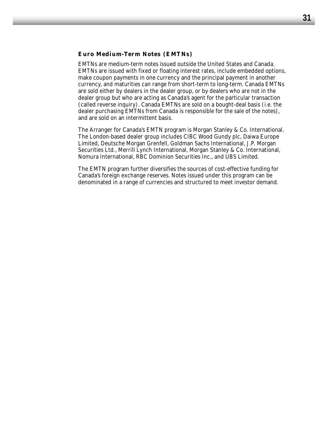#### *Euro Medium-Term Notes (EMTNs)*

EMTNs are medium-term notes issued outside the United States and Canada. EMTNs are issued with fixed or floating interest rates, include embedded options, make coupon payments in one currency and the principal payment in another currency, and maturities can range from short-term to long-term. Canada EMTNs are sold either by dealers in the dealer group, or by dealers who are not in the dealer group but who are acting as Canada's agent for the particular transaction (called reverse inquiry). Canada EMTNs are sold on a bought-deal basis (i.e. the dealer purchasing EMTNs from Canada is responsible for the sale of the notes), and are sold on an intermittent basis.

The Arranger for Canada's EMTN program is Morgan Stanley & Co. International. The London-based dealer group includes CIBC Wood Gundy plc, Daiwa Europe Limited, Deutsche Morgan Grenfell, Goldman Sachs International, J.P. Morgan Securities Ltd., Merrill Lynch International, Morgan Stanley & Co. International, Nomura International, RBC Dominion Securities Inc., and UBS Limited.

The EMTN program further diversifies the sources of cost-effective funding for Canada's foreign exchange reserves. Notes issued under this program can be denominated in a range of currencies and structured to meet investor demand.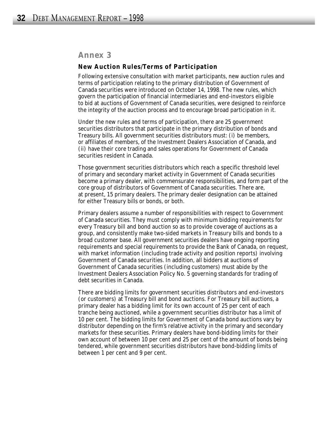## *Annex 3*

#### **New Auction Rules/Terms of Participation**

Following extensive consultation with market participants, new auction rules and terms of participation relating to the primary distribution of Government of Canada securities were introduced on October 14, 1998. The new rules, which govern the participation of financial intermediaries and end-investors eligible to bid at auctions of Government of Canada securities, were designed to reinforce the integrity of the auction process and to encourage broad participation in it.

Under the new rules and terms of participation, there are 25 government securities distributors that participate in the primary distribution of bonds and Treasury bills. All government securities distributors must: (i) be members, or affiliates of members, of the Investment Dealers Association of Canada, and (ii) have their core trading and sales operations for Government of Canada securities resident in Canada.

Those government securities distributors which reach a specific threshold level of primary and secondary market activity in Government of Canada securities become a primary dealer, with commensurate responsibilities, and form part of the core group of distributors of Government of Canada securities. There are, at present, 15 primary dealers. The primary dealer designation can be attained for either Treasury bills or bonds, or both.

Primary dealers assume a number of responsibilities with respect to Government of Canada securities. They must comply with minimum bidding requirements for every Treasury bill and bond auction so as to provide coverage of auctions as a group, and consistently make two-sided markets in Treasury bills and bonds to a broad customer base. All government securities dealers have ongoing reporting requirements and special requirements to provide the Bank of Canada, on request, with market information (including trade activity and position reports) involving Government of Canada securities. In addition, all bidders at auctions of Government of Canada securities (including customers) must abide by the Investment Dealers Association Policy No. 5 governing standards for trading of debt securities in Canada.

There are bidding limits for government securities distributors and end-investors (or customers) at Treasury bill and bond auctions. For Treasury bill auctions, a primary dealer has a bidding limit for its own account of 25 per cent of each tranche being auctioned, while a government securities distributor has a limit of 10 per cent. The bidding limits for Government of Canada bond auctions vary by distributor depending on the firm's relative activity in the primary and secondary markets for these securities. Primary dealers have bond-bidding limits for their own account of between 10 per cent and 25 per cent of the amount of bonds being tendered, while government securities distributors have bond-bidding limits of between 1 per cent and 9 per cent.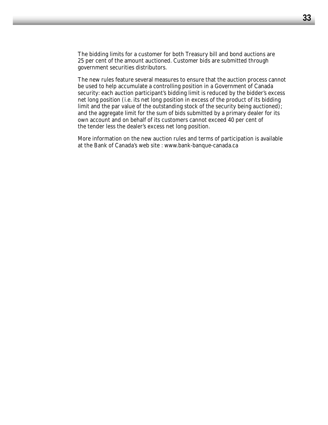The bidding limits for a customer for both Treasury bill and bond auctions are 25 per cent of the amount auctioned. Customer bids are submitted through government securities distributors.

The new rules feature several measures to ensure that the auction process cannot be used to help accumulate a controlling position in a Government of Canada security: each auction participant's bidding limit is reduced by the bidder's excess net long position (i.e. its net long position in excess of the product of its bidding limit and the par value of the outstanding stock of the security being auctioned); and the aggregate limit for the sum of bids submitted by a primary dealer for its own account and on behalf of its customers cannot exceed 40 per cent of the tender less the dealer's excess net long position.

More information on the new auction rules and terms of participation is available at the Bank of Canada's web site : www.bank-banque-canada.ca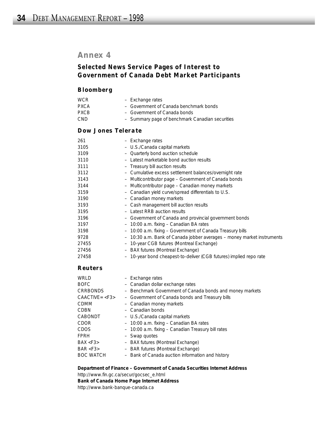## *Annex 4*

## **Selected News Service Pages of Interest to Government of Canada Debt Market Participants**

#### *Bloomberg*

| <b>WCR</b>  | - Exchange rates                                |
|-------------|-------------------------------------------------|
| <b>PXCA</b> | - Government of Canada benchmark bonds          |
| <b>PXCB</b> | - Government of Canada bonds                    |
| CND.        | - Summary page of benchmark Canadian securities |

## *Dow Jones Telerate*

| 261   | - Exchange rates                                                       |
|-------|------------------------------------------------------------------------|
| 3105  | - U.S./Canada capital markets                                          |
| 3109  | - Quarterly bond auction schedule                                      |
| 3110  | - Latest marketable bond auction results                               |
| 3111  | - Treasury bill auction results                                        |
| 3112  | - Cumulative excess settlement balances/overnight rate                 |
| 3143  | - Multicontributor page - Government of Canada bonds                   |
| 3144  | - Multicontributor page – Canadian money markets                       |
| 3159  | - Canadian yield curve/spread differentials to U.S.                    |
| 3190  | - Canadian money markets                                               |
| 3193  | - Cash management bill auction results                                 |
| 3195  | - Latest RRB auction results                                           |
| 3196  | - Government of Canada and provincial government bonds                 |
| 3197  | - 10:00 a.m. fixing - Canadian BA rates                                |
| 3198  | - 10:00 a.m. fixing - Government of Canada Treasury bills              |
| 9728  | - 10:30 a.m. Bank of Canada jobber averages - money market instruments |
| 27455 | 10-year CGB futures (Montreal Exchange)<br>$\overline{\phantom{a}}$    |
| 27456 | - BAX futures (Montreal Exchange)                                      |
| 27458 | 10-year bond cheapest-to-deliver (CGB futures) implied repo rate       |

#### *Reuters*

| WRLD             | - Exchange rates                                         |
|------------------|----------------------------------------------------------|
| <b>BOFC</b>      | - Canadian dollar exchange rates                         |
| <b>CRRBONDS</b>  | - Benchmark Government of Canada bonds and money markets |
| $CAACTIVE = $    | - Government of Canada bonds and Treasury bills          |
| <b>CDMM</b>      | - Canadian money markets                                 |
| <b>CDBN</b>      | - Canadian bonds                                         |
| CABONDT          | - U.S./Canada capital markets                            |
| <b>CDOR</b>      | - 10:00 a.m. fixing - Canadian BA rates                  |
| <b>CDOS</b>      | - 10:00 a.m. fixing - Canadian Treasury bill rates       |
| <b>FPRH</b>      | - Swap quotes                                            |
| BAX < F3         | - BAX futures (Montreal Exchange)                        |
| BAR < F3         | - BAR futures (Montreal Exchange)                        |
| <b>BOC WATCH</b> | - Bank of Canada auction information and history         |

#### **Department of Finance – Government of Canada Securities Internet Address**

http://www.fin.gc.ca/secur/gocsec\_e.html **Bank of Canada Home Page Internet Address** http://www.bank-banque-canada.ca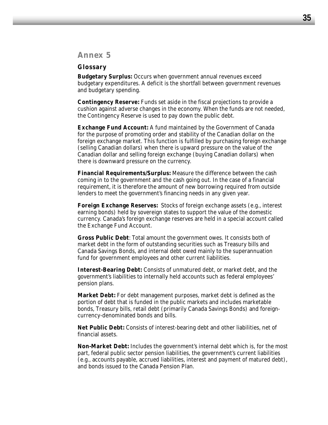## *Annex 5*

#### **Glossary**

**Budgetary Surplus:** Occurs when government annual revenues exceed budgetary expenditures. A deficit is the shortfall between government revenues and budgetary spending.

**Contingency Reserve:** Funds set aside in the fiscal projections to provide a cushion against adverse changes in the economy. When the funds are not needed, the Contingency Reserve is used to pay down the public debt.

**Exchange Fund Account:** A fund maintained by the Government of Canada for the purpose of promoting order and stability of the Canadian dollar on the foreign exchange market. This function is fulfilled by purchasing foreign exchange (selling Canadian dollars) when there is upward pressure on the value of the Canadian dollar and selling foreign exchange (buying Canadian dollars) when there is downward pressure on the currency.

**Financial Requirements/Surplus:** Measure the difference between the cash coming in to the government and the cash going out. In the case of a financial requirement, it is therefore the amount of new borrowing required from outside lenders to meet the government's financing needs in any given year.

**Foreign Exchange Reserves:** Stocks of foreign exchange assets (e.g., interest earning bonds) held by sovereign states to support the value of the domestic currency. Canada's foreign exchange reserves are held in a special account called the Exchange Fund Account.

**Gross Public Debt**: Total amount the government owes. It consists both of market debt in the form of outstanding securities such as Treasury bills and Canada Savings Bonds, and internal debt owed mainly to the superannuation fund for government employees and other current liabilities.

**Interest-Bearing Debt:** Consists of unmatured debt, or market debt, and the government's liabilities to internally held accounts such as federal employees' pension plans.

**Market Debt:** For debt management purposes, market debt is defined as the portion of debt that is funded in the public markets and includes marketable bonds, Treasury bills, retail debt (primarily Canada Savings Bonds) and foreigncurrency-denominated bonds and bills.

**Net Public Debt:** Consists of interest-bearing debt and other liabilities, net of financial assets.

**Non-Market Debt:** Includes the government's internal debt which is, for the most part, federal public sector pension liabilities, the government's current liabilities (e.g., accounts payable, accrued liabilities, interest and payment of matured debt), and bonds issued to the Canada Pension Plan.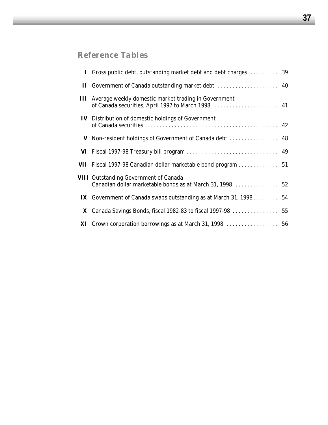# *Reference Tables*

| I Gross public debt, outstanding market debt and debt charges                                                         | 39 |
|-----------------------------------------------------------------------------------------------------------------------|----|
|                                                                                                                       |    |
| <b>III</b> Average weekly domestic market trading in Government<br>of Canada securities, April 1997 to March 1998  41 |    |
| <b>IV</b> Distribution of domestic holdings of Government                                                             |    |
| V Non-resident holdings of Government of Canada debt  48                                                              |    |
|                                                                                                                       |    |
| VII Fiscal 1997-98 Canadian dollar marketable bond program 51                                                         |    |
| <b>VIII</b> Outstanding Government of Canada<br>Canadian dollar marketable bonds as at March 31, 1998  52             |    |
| <b>IX</b> Government of Canada swaps outstanding as at March 31, 1998 54                                              |    |
|                                                                                                                       |    |
|                                                                                                                       |    |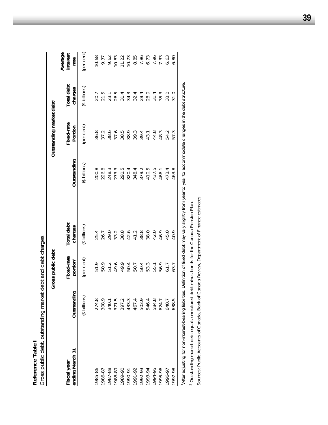| Total debt<br>charges<br>$($ \$ billions)<br>20.7<br>21.5<br>26.5<br>31.4<br>34.3<br>29.4<br>28.0<br>31.4<br>35.3<br>33.0<br>32.4<br>23.1<br>Outstanding market debt <sup>2</sup><br>Fixed-rate<br>(per cent)<br>Portion<br>36.8<br>44.8<br>37.2<br>38.6<br>37.6<br>38.5<br>38.9<br>39.3<br>39.4<br>48.3<br>54.2<br>43.1<br>Outstanding<br>(\$ billions)<br>410.5<br>200.8<br>226.8<br>248.3<br>273.3<br>379.2<br>437.5<br>291.5<br>320.4<br>348.4<br>473.4<br>466.1<br>Total debt<br>(\$ billions)<br>charges<br>38.8<br>25.4<br>38.8<br>42.6<br>41.2<br>38.0<br>42.0<br>46.9<br>26.7<br>33.2<br>45.0<br>29.0<br>Gross public debt<br>Fixed-rate<br>(per cent)<br>portion<br>51.9<br>50.9<br>51.2<br>49.6<br>49.9<br>53.3<br>50.4<br>56.9<br>50.4<br>50.7<br>55.1<br>61.7<br>Outstanding<br>(\$ billions)<br>274.8<br>584.8<br>340.1<br>371.5<br>397.2<br>503.9<br>546.4<br>308.9<br>433.3<br>467.4<br>624.7<br>640.7<br>ending March 31<br>Fiscal year<br>1985-86<br>1987-88<br>1991-92<br>1992-93<br>1994-95<br>1995-96<br>1988-89<br>1989-90<br>1993-94<br>1986-87<br>1996-97<br>1990-91 | Gross public debt, outstanding market<br>Reference Table |       | debt and debt charges |      |       |      |      |                             |
|----------------------------------------------------------------------------------------------------------------------------------------------------------------------------------------------------------------------------------------------------------------------------------------------------------------------------------------------------------------------------------------------------------------------------------------------------------------------------------------------------------------------------------------------------------------------------------------------------------------------------------------------------------------------------------------------------------------------------------------------------------------------------------------------------------------------------------------------------------------------------------------------------------------------------------------------------------------------------------------------------------------------------------------------------------------------------------------------|----------------------------------------------------------|-------|-----------------------|------|-------|------|------|-----------------------------|
|                                                                                                                                                                                                                                                                                                                                                                                                                                                                                                                                                                                                                                                                                                                                                                                                                                                                                                                                                                                                                                                                                              |                                                          |       |                       |      |       |      |      |                             |
|                                                                                                                                                                                                                                                                                                                                                                                                                                                                                                                                                                                                                                                                                                                                                                                                                                                                                                                                                                                                                                                                                              |                                                          |       |                       |      |       |      |      | Average<br>interest<br>rate |
|                                                                                                                                                                                                                                                                                                                                                                                                                                                                                                                                                                                                                                                                                                                                                                                                                                                                                                                                                                                                                                                                                              |                                                          |       |                       |      |       |      |      | (per cent)                  |
|                                                                                                                                                                                                                                                                                                                                                                                                                                                                                                                                                                                                                                                                                                                                                                                                                                                                                                                                                                                                                                                                                              |                                                          |       |                       |      |       |      |      | 10.68                       |
|                                                                                                                                                                                                                                                                                                                                                                                                                                                                                                                                                                                                                                                                                                                                                                                                                                                                                                                                                                                                                                                                                              |                                                          |       |                       |      |       |      |      | 9.37                        |
|                                                                                                                                                                                                                                                                                                                                                                                                                                                                                                                                                                                                                                                                                                                                                                                                                                                                                                                                                                                                                                                                                              |                                                          |       |                       |      |       |      |      | 9.62                        |
|                                                                                                                                                                                                                                                                                                                                                                                                                                                                                                                                                                                                                                                                                                                                                                                                                                                                                                                                                                                                                                                                                              |                                                          |       |                       |      |       |      |      | 10.83                       |
|                                                                                                                                                                                                                                                                                                                                                                                                                                                                                                                                                                                                                                                                                                                                                                                                                                                                                                                                                                                                                                                                                              |                                                          |       |                       |      |       |      |      | 11.22                       |
|                                                                                                                                                                                                                                                                                                                                                                                                                                                                                                                                                                                                                                                                                                                                                                                                                                                                                                                                                                                                                                                                                              |                                                          |       |                       |      |       |      |      | 10.73                       |
|                                                                                                                                                                                                                                                                                                                                                                                                                                                                                                                                                                                                                                                                                                                                                                                                                                                                                                                                                                                                                                                                                              |                                                          |       |                       |      |       |      |      | 8.85                        |
|                                                                                                                                                                                                                                                                                                                                                                                                                                                                                                                                                                                                                                                                                                                                                                                                                                                                                                                                                                                                                                                                                              |                                                          |       |                       |      |       |      |      | 7.86                        |
|                                                                                                                                                                                                                                                                                                                                                                                                                                                                                                                                                                                                                                                                                                                                                                                                                                                                                                                                                                                                                                                                                              |                                                          |       |                       |      |       |      |      | 6.73                        |
|                                                                                                                                                                                                                                                                                                                                                                                                                                                                                                                                                                                                                                                                                                                                                                                                                                                                                                                                                                                                                                                                                              |                                                          |       |                       |      |       |      |      | 7.96                        |
|                                                                                                                                                                                                                                                                                                                                                                                                                                                                                                                                                                                                                                                                                                                                                                                                                                                                                                                                                                                                                                                                                              |                                                          |       |                       |      |       |      |      | 7.33                        |
|                                                                                                                                                                                                                                                                                                                                                                                                                                                                                                                                                                                                                                                                                                                                                                                                                                                                                                                                                                                                                                                                                              |                                                          |       |                       |      |       |      |      | 6.63                        |
|                                                                                                                                                                                                                                                                                                                                                                                                                                                                                                                                                                                                                                                                                                                                                                                                                                                                                                                                                                                                                                                                                              | 1997-98                                                  | 638.5 | 63.7                  | 40.9 | 463.8 | 57.3 | 31.0 | 6.80                        |

1After adjusting for non-interest-bearing liabilities. Definition of fixed debt may vary slightly from year to year to accommodate changes in the debt structure. llainge 5 "After adjusting for non-interest-bearing liabilities. Definition of tixed debt may varience in the rest-bearing for non-year to aver to average

<sup>2</sup> Outstanding market debt equals unmatured debt minus bonds for the Canada Pension Plan. Outstanding market debt equals unmatured debt minus bonds for the Canada Pension Plan.

Sources: Public Accounts of Canada, Bank of Canada Review, Department of Finance estimates Sources: *Public Accounts of Canada, Bank of Canada Review*, Department of Finance estimates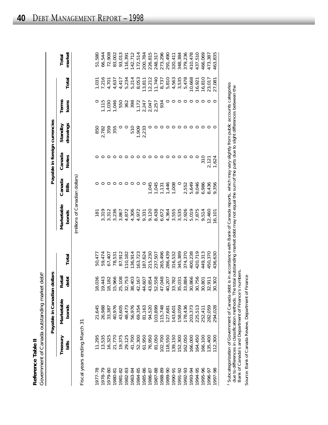|                | Ò<br>$\vec{\zeta}$<br>anada outrandino marko: |
|----------------|-----------------------------------------------|
| Doforonco<br>ſ | )<br>J<br>$\bar{5}$<br>Conceptor of<br>ľ      |

|         |                              | Payable in Canadian dollars |                |         |                                |                 |                        | Payable in foreign currencies |                |                  |                 |
|---------|------------------------------|-----------------------------|----------------|---------|--------------------------------|-----------------|------------------------|-------------------------------|----------------|------------------|-----------------|
|         | Treasury<br>bills            | Marketable<br>bonds         | Retail<br>debt | Total   | Marketable<br>bonds            | Canada<br>Bills | Canada<br><b>Notes</b> | drawings<br>Standby           | Terms<br>loans | Total            | market<br>Total |
|         |                              |                             |                |         | (millions of Canadian dollars) |                 |                        |                               |                |                  |                 |
|         | Fiscal years ending March 31 |                             |                |         |                                |                 |                        |                               |                |                  |                 |
| 977-78  | 11,295                       | 21,645                      | 18,036         | 50,47   | 181                            |                 |                        | 850                           |                | 1,031            | 51,580          |
| 1978-79 | 13,535                       | 26,988                      | 19,443         | 59,474  | 3,319                          |                 |                        | 2,782                         | 1,115          | 7,216            | 66,544          |
| 1979-80 | 16,325                       | 33,387                      | 18,182         | 67,407  | 3,312                          |                 |                        | 359                           | 1,030          | 4,701            | 72,908          |
| 1980-81 | 21,770                       | 40,976                      | 15,966         | 78,531  | 236                            |                 |                        | 355                           | 1,046          | 4,63             | 83,002          |
| 1981-82 | 19,375                       | 43,605                      | 25,108         | 87,912  | 3,867                          |                 |                        |                               | 550            | 4,41             | 93,013          |
| 1982-83 | 29,125                       | 48,473                      | 32,753         | 10,182  | 4,872                          |                 |                        |                               | 362            | 5,234            | 116,397         |
| 1983-84 | 41,700                       | 56,976                      | 38,403         | 136,914 | 4,306                          |                 |                        | 510                           | 398            | 5,214            | 142,712         |
| 1984-85 | 52,300                       | 69,354                      | 42,167         | 63,723  | 4,972                          |                 |                        | 1,909                         | 1,172          | 8,053            | 172,514         |
| 1985-86 | 61,950                       | 81,163                      | 44,607         | 87,624  | 9,331                          |                 |                        | 2,233                         | 2,247          |                  | 200,784         |
| 1986-87 | 76,950                       | 94,520                      | 43,854         | 215,230 | 9,120                          | ,045            |                        |                               | 2,047          | 13,811<br>12,212 | 226,815         |
| 1987-88 | 81,050                       | 103,899                     | 52,558         | 237,507 | ,438<br>$\infty$               | 1,045           |                        |                               | 2,257          | 11,740           | 248,317         |
| 1988-89 | 102,700                      | 115,748                     | 47,048         | 265,496 | 6,672                          | 1,131           |                        |                               | 934            | 8,737            | 273,296         |
| 06-6861 | 118,550                      | 127,681                     | 40,207         | 286,439 | 4,364                          | 1,446<br>1,008  |                        |                               |                | 5,810            | 291,490         |
| 1990-91 | 139,150                      | 143,601                     | 33,782         | 316,532 | 3,555                          |                 |                        |                               | $\circ$        | 4,563            | 320,411         |
| 1991-92 | 152,300                      | 58,059                      | 35,031         | 345,389 | 3,535                          |                 |                        |                               | O              | 3,535            | 348,384         |
| 1992-93 | 162,050                      | 178,436                     | 33,884         | 374,370 | 2,926                          | 2,552           |                        |                               |                | 5,478            | 379,236         |
| 1993-94 | 166,000                      | 203,373                     | 30,866         | 400,238 | 5,019                          | 5,649           |                        |                               |                | 10,668           | 410,478         |
| 1994-95 | 164,450                      | 225,513<br>252,411          | 30,756         | 420,719 | 7,875                          | 9,046           |                        |                               | O              | 16,921           | 437,510         |
| 1995-96 | 166,100                      |                             | 30,801         | 449,313 | 9,514                          | 6,986           | $\frac{310}{5}$        |                               | ○              | 16,810           | 466,069         |
| 1996-97 | 135,400                      | 282,059                     | 32,911         | 150,370 | 12,460                         | 8,436           | 2,121                  |                               | ○              | 23,017           | 473,387         |
| 1997-98 | 112,300                      | 294,028                     | 30,302         | 436,630 | 16,101                         | 9,356           | 1,624                  |                               | ⊂              | 27,081           | 463,835         |
|         |                              |                             |                |         |                                |                 |                        |                               |                |                  |                 |

1 Subcategorization of Government of Canada debt is in accordance with Bank of Canada reports, which may vary slightly from public accounts categories<br>due to differences in classification methods. The total outstanding mar Subcategorization of Government of Canada debt is in accordance with Bank of Canada reports, which may vary slightly from public accounts categories due to differences in classification methods. The total outstanding market debt may not equal the sum of the parts due to slight differences between the Bank of Canada's and Department of Finance's numbers.

Source: Bank of Canada Review, Department of Finance Source: *Bank of Canada Review,* Department of Finance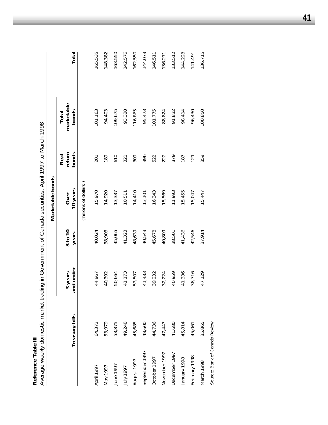| ٠           |  |
|-------------|--|
| I<br>l      |  |
| č           |  |
| è<br>ı<br>ĵ |  |
| ı           |  |

Reference Table III<br>Average weekly domestic market trading in Government of Canada securities, April 1997 to March 1998 *Average weekly domestic market trading in Government of Canada securities, April 1997 to March 1998*

|                |                |                      |                  | Marketable bonds      |                         |                              |         |
|----------------|----------------|----------------------|------------------|-----------------------|-------------------------|------------------------------|---------|
|                | Treasury bills | and under<br>3 years | 3 to 10<br>years | 10 years<br>Over      | bonds<br>return<br>Real | marketable<br>bonds<br>Total | Total   |
|                |                |                      |                  | (millions of dollars) |                         |                              |         |
| April 1997     | 64,372         | 44,967               | 40,024           | 15,970                | 201                     | 101,163                      | 165,535 |
| Vay 1997       | 53,979         | 40,392               | 38,903           | 14,920                | 189                     | 94,403                       | 148,382 |
| June 1997      | 53,875         | 50,664               | 45,065           | 13,337                | 610                     | 109,675                      | 163,550 |
| L661 Ann       | 49,248         | 41,173               | 41,323           | 10,511                | 321                     | 93,328                       | 142,576 |
| August 1997    | 45,685         | 53,507               | 48,639           | 14,410                | 309                     | 116,865                      | 162,550 |
| September 1997 | 48,600         | 41,433               | 40,543           | 13,101                | 396                     | 95,473                       | 144,073 |
| October 1997   | 44,736         | 39,232               | 45,678           | 16,343                | 522                     | 101,775                      | 146,511 |
| November 1997  | 47,447         | 32,224               | 40,809           | 15,569                | 222                     | 88,824                       | 136,271 |
| December 1997  | 41,680         | 40,959               | 38,501           | 11,993                | 379                     | 91,832                       | 133,512 |
| January 1998   | 45,814         | 41,336               | 41,436           | 15,455                | 187                     | 98,414                       | 144,228 |
| February 1998  | 45,061         | 38,716               | 42,546           | 15,047                | 121                     | 96,430                       | 141,491 |
| March 1998     | 35,865         | 47,129               | 37,914           | 15,447                | 359                     | 100,850                      | 136,715 |
|                |                |                      |                  |                       |                         |                              |         |

Source: Bank of Canada Review Source: *Bank of Canada Review*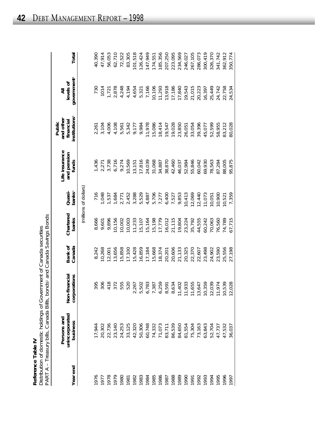| Table     | Dirtribution of domocris and |
|-----------|------------------------------|
| Reference |                              |

| Reference Table IV                                                     |
|------------------------------------------------------------------------|
| Distribution of domestic holdings of Government of Canada securities   |
| PART A - Treasury bills, Canada Bills, bonds, and Canada Savings Bonds |

| Year end     | unincorporated<br>Persons and<br>business                | Non-financial<br>corporations    | Bank of<br>Canada | Chartered<br>banks | banks <sup>2</sup><br>Quasi- | Life insurance<br>and pension<br>funds | institutions <sup>3</sup><br>and other<br>financial<br>Public | government <sup>4</sup><br>levels of<br>₹ | Total   |
|--------------|----------------------------------------------------------|----------------------------------|-------------------|--------------------|------------------------------|----------------------------------------|---------------------------------------------------------------|-------------------------------------------|---------|
|              |                                                          |                                  |                   |                    | (millions of dollars)        |                                        |                                                               |                                           |         |
|              | 17,944                                                   | 395                              | 8,242             | 8,666              | 716                          | 1,436                                  | 2,261                                                         | 730                                       | 40,390  |
|              |                                                          | 306                              | 10,268            | 9,601              | 1,048                        |                                        | 3,104                                                         | 1014                                      | 47,914  |
|              | 20,302<br>22,736<br>22,140<br>23,125<br>30,306<br>50,306 | 418                              | 12,001            | 9,896              | 1,537                        | 2,271<br>3,738                         | 4,006                                                         | 1,721                                     | 56,053  |
|              |                                                          | 372                              | 13,656            | 10,156             | 1,684                        | 6,716                                  | 4,108                                                         | 2,878                                     | 62,710  |
|              |                                                          | 555                              | 15,858            | 10,002             | 2,771                        | 9,274                                  | 5,561                                                         | 4,248                                     | 72,522  |
|              |                                                          | 520                              | 17,100            | 10,003             | 2,452                        | 10,569                                 | 5,342                                                         | 4,194                                     | 83,305  |
|              |                                                          | 267                              | 15,428            | 11,233             | 3,288                        | 13,151                                 | 9,177                                                         | 4,654                                     | 101,518 |
|              |                                                          | 502<br>5                         | 16,859            | 15,107             | 5,529                        | 17,816                                 | 9,984                                                         | 5,321                                     | 126,424 |
|              | 60,748<br>74,332<br>71,073<br>83,711<br>86,539           | 783<br>$\mathbf{\hat{o}}$        | 17,184            | 15,164             | 4,887                        | 24,039                                 | 11,978                                                        | 7,166                                     | 147,949 |
|              |                                                          | 387                              | 5,668             | 15,198             | 5,706                        | 31,068                                 | 15,086                                                        | 10,106                                    | 174,551 |
|              |                                                          | 259<br>∾                         | 8,374             | 17,779             | 7,277                        | 34,887                                 | 18,414                                                        | 11,293                                    | 185,356 |
|              |                                                          | 591<br>$\infty$                  | 20,201            | 16,012             | 6,400                        | 38,870                                 | 19,547                                                        | 13,918                                    | 207,250 |
|              |                                                          | 634<br>$\infty$                  | 20,606            | 21,115             | 7,527                        | 42,460                                 | 19,028                                                        | 17,186                                    | 223,095 |
|              | 84,650<br>81,554                                         | 402<br>$\overline{\overline{a}}$ | 21,133            | 19,804             | 9,853                        | 46,037                                 | 23,850                                                        | 17,840                                    | 234,569 |
|              |                                                          | 933                              | 20,325            | 23,224             | 10,413                       | 52,984                                 | 26,051                                                        | 19,543                                    | 246,027 |
|              |                                                          | 655                              | 22,370            | 35,792             | 12,069                       | 55,846                                 | 33,054                                                        | 21,015                                    | 267,105 |
|              | 75,304<br>73,163<br>63,843                               | 647<br>せれるのかれ                    | 22,607            | 44,555             | 12,440                       | 60,042                                 | 39,396                                                        | 20,223                                    | 286,073 |
|              |                                                          | 359                              | 23,498            | 60,242             | 11,073                       | 69,930                                 | 45,077                                                        | 16,397                                    | 300,419 |
|              | 52,704                                                   | 039                              | 24,902            | 70,063             | 10,051                       | 78,563                                 | 52,599                                                        | 25,449                                    | 326,370 |
|              | 47,737                                                   | 974                              | 23,590            | 76,560             | 10,900                       | 87,284                                 | 58,955                                                        | 24,742                                    | 341,742 |
|              | 47,532                                                   | 539<br>$\overline{O}$            | 25,556            | 74,789             | 10,521                       | 88,005                                 | 83,212                                                        | 22,758                                    | 362,912 |
| 1996<br>1997 | 36,037                                                   | 028<br>$\overline{\Omega}$       | 27,198            | 67,715             | 7,359                        | 95,875                                 | 80,028                                                        | 24,534                                    | 350,774 |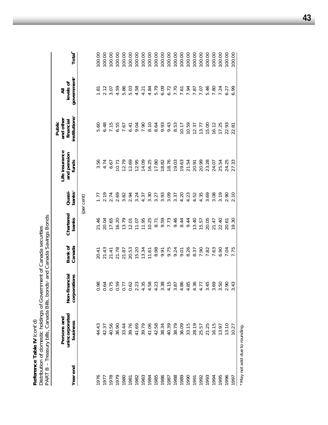Distribution of domestic holdings of Government of Canada securities *Distribution of domestic holdings of Government of Canada securities* Reference Table IV (cont'd) **Reference Table IV** *(cont'd)*

Total<sup>\*</sup> 00.00  $00.00$  $00.00$  $00.00$  $00.00$ 100.00 100.00 100.00 100.00 100.00 100.00 100.00 100.00 100.00 100.00  $00.00$ 100.00 100.00 100.00  $00.00$ 100.00 **Year end business corporations Canada banks banks**2 **funds institutions**3 **government**4 **Total\*** 100.00 1976 44.43 0.98 20.41 21.46 1.77 3.56 5.60 1.81 100.00 1977 42.37 0.64 21.43 20.04 2.19 4.74 6.48 2.12 100.00 1978 40.56 0.75 21.41 17.65 2.74 6.67 7.15 3.07 100.00 1979 36.90 0.59 21.78 16.20 2.69 10.71 6.55 4.59 100.00 1980 33.44 0.77 21.87 13.79 3.82 12.79 7.67 5.86 100.00 1981 39.76 0.62 20.53 12.01 2.94 12.69 6.41 5.03 100.00 1982 41.69 2.23 15.20 11.07 3.24 12.95 9.04 4.58 100.00 1983 39.79 4.35 4.34 11.95 11.95 4.37 4.21 14.09 7.90 7.91 100.00 1984 41.06 4.58 11.61 10.25 3.30 16.25 8.10 4.84 100.00 1985 42.58 4.23 8.98 8.71 3.27 17.80 8.64 5.79 100.00 1986 38.34 3.38 9.91 9.59 3.93 18.82 9.93 6.09 100.00 1987 40.39 4.15 9.75 7.73 3.09 18.76 9.43 6.72 100.00 1988 38.79 38.79 3.87 9.46 9.474 9.37 3.37 3.37 3.87 3.87 8.53 8.53 8.53 3.879 1989 36.09 36.09 4.86 4.86 4.86 4.86 4.86 4.86 4.86 10.17 10.17 10.17 10.17 1990 33.15 4.85 4.85 8.26 4.23 4.23 21.54 10.59 7.94 7.94 10.59 10.59 1991 28.19 4.36 8.37 13.40 4.52 20.91 12.37 7.87 100.00 1992 25.57 4.77 7.90 15.57 4.35 20.99 13.77 7.07 100.00 1993 21.25 3.45 7.82 20.05 3.69 23.28 15.00 5.46 100.00 1994 16.15 3.69 7.63 21.47 3.08 24.07 16.12 7.80 100.00 1995 13.97 3.50 6.90 22.40 3.19 25.54 17.25 7.24 100.00 1996 13.10 2.90 7.04 20.61 2.90 24.25 22.93 6.27 100.00 1997 10.27 3.43 7.75 19.30 2.10 27.33 22.81 6.99 100.00 government<sup>4</sup> levels of **b** and the matricular interest of  $\alpha$  and  $\alpha$  and  $\alpha$  is a consequent of  $\alpha$  is a consequent of  $\alpha$  is a consequent of  $\alpha$  is a consequent of  $\alpha$  is  $\alpha$  of  $\alpha$  is  $\alpha$  of  $\alpha$  is  $\alpha$  of  $\alpha$  is  $\alpha$  of  $\alpha$  is  $2.12$ 5.79 6.09 6.72 7.70 7.61<br>7.87<br>7.87<br>7.07 5.46 7.80 7.24 6.27  $1.81$ ₹ **Persons and Life insurance and other All** institutions<sup>3</sup> and other financial **Public** 5.60 6.48 7.15 6.55 7.67  $6.41$ 9.04 7.90  $8.10$ 8.64 9.93 9.43 8.53  $10.17$ 10.59 12.37 13.77 15.00 16.12 17.25 22.93 22.81 Life insurance and pension 3.56 6.67 12.79 12.69 12.95 14.09 16.25 17.80 18.82 18.76 19.03 19.63 21.54 20.99 23.28 24.07 25.54 24.25 4.74  $10.71$ 20.91 27.33 funds Quasi-<br>banks<sup>2</sup> 2.69 3.93 3.09  $4.23$ <br> $4.52$ 4.35 3.69  $3.19$ 2.19 2.74 3.82 2.94 3.24 4.37 3.30 3.27 3.37 4.20 3.08 2.90 2.10  $1.77$ (per cent) Chartered PART B - Treasury bills, Canada Bills, bonds<sup>1</sup> and Canada Savings Bonds PART B – Treasury bills, Canada Bills, bonds1 and Canada Savings Bonds banks 11.95 9.59 7.73 9.46 21.47 21.46 20.04 17.65 16.20 13.79  $12.01$ 11.07 10.25 8.71 8.44 9.44 13.40 15.57 20.05 22.40 20.61 19.30 Bank of<br>Canada  $20.41$  $21.43$ 21.78 20.53 15.20 13.34  $11.61$ 8.98 9.91 9.75 9.24 9.01 8.37 7.90 7.82 7.63 6.90 7.04 7.75  $21.41$ 21.87 Non-financial corporations 0.98 0.75 0.59  $0.62$ 2.23 4.35 4.58 4.23 3.38 4.15 3.87 4.86 4.85 4.36 4.77 3.45 3.69 3.50  $0.64$ 0.77 2.90 3.43 Persons and<br>unincorporated business 44.43 42.37 40.56 36.90 33.44 39.76 41.69 39.79 41.06 42.58 38.34 40.39 38.79 36.09 33.15 28.19 25.57 21.25 16.15 13.97 13.10 10.27 Year end 1978 1979 1983 1985 1986 1987 1988 1989 1990 1992 1993 995 1980 1982 1984 1991 1994 966 1976 1977 1981 1997

May not add due to rounding. \* May not add due to rounding.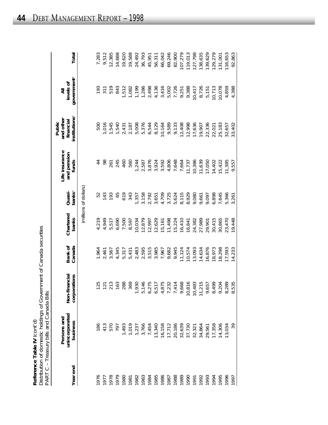| Reference Table IV (cont'd)                                          |
|----------------------------------------------------------------------|
| Distribution of domestic holdings of Government of Canada securities |
| PART C - Treasury bills and Canada Bills                             |

| Year end     | unincorporated<br>Persons and<br>business                                                                                                                                                                                                                                                   | Non-financial<br>corporations | Canada<br>Bank of | Chartered<br>banks | banks <sup>2</sup><br>Quasi- | Life insurance<br>and pension<br>funds | institutions <sup>3</sup><br>and other<br>financial<br>Public | government <sup>4</sup><br>levels of<br>₹ | Total   |
|--------------|---------------------------------------------------------------------------------------------------------------------------------------------------------------------------------------------------------------------------------------------------------------------------------------------|-------------------------------|-------------------|--------------------|------------------------------|----------------------------------------|---------------------------------------------------------------|-------------------------------------------|---------|
|              |                                                                                                                                                                                                                                                                                             |                               |                   |                    | (millions of dollars)        |                                        |                                                               |                                           |         |
| 976          |                                                                                                                                                                                                                                                                                             |                               | 1,964             | 4,219              | 52                           |                                        | 500                                                           | 193                                       | 7,283   |
| 1977         |                                                                                                                                                                                                                                                                                             | 25<br>21                      | 2,461             | 4,949              | 143                          | 98                                     | 1,016                                                         | 311                                       | 9,512   |
| 1978         | 186<br>413<br>570<br>797                                                                                                                                                                                                                                                                    | $\frac{213}{163}$             | 3,567             | 5,517              | 193                          | 261                                    | 1,545                                                         | 519                                       | 12,385  |
| 1979         |                                                                                                                                                                                                                                                                                             |                               | 4,345             | 6,690              | 65                           | 245                                    | 1,540                                                         | 843                                       | 14,688  |
| 1980<br>1981 | 1,493                                                                                                                                                                                                                                                                                       | 288                           | 5,317             | 7,500              | 619                          | 460                                    | 2,431                                                         | 1,512                                     | 19,620  |
|              |                                                                                                                                                                                                                                                                                             | 369                           | 5,431             | 8,597              | 343                          | 560                                    | 2,187                                                         | 1,082                                     | 19,588  |
| 1982         | $\begin{array}{l} 1.019 \\ 1.237 \\ 1.454 \\ 1.31340 \\ 1.4540 \\ 1.5340 \\ 1.5340 \\ 1.5340 \\ 1.5340 \\ 1.5340 \\ 1.5340 \\ 1.5340 \\ 1.5340 \\ 1.5358 \\ 1.5358 \\ 1.5358 \\ 1.5358 \\ 1.5358 \\ 1.5358 \\ 1.5358 \\ 1.5358 \\ 1.5358 \\ 1.5358 \\ 1.5358 \\ 1.5358 \\ 1.5358 \\ 1.5358$ | 1,930                         | 2,483             | 10,034             | 1,357                        | 1,244                                  | 5,008                                                         | 1,199                                     | 24,492  |
|              |                                                                                                                                                                                                                                                                                             |                               | 2,595             | 12,879             | 3,158                        | 2,587                                  | 5,376                                                         | 1,286                                     | 36,793  |
| 1984<br>1984 |                                                                                                                                                                                                                                                                                             |                               | 3,515             | 12,997             | 2,792                        | 3,876                                  | 6,544                                                         | 2,498                                     | 45,951  |
| 1985         |                                                                                                                                                                                                                                                                                             |                               | 3,985             | 12,629             | 3,651                        | 3,924                                  | 8,129                                                         | 4,136                                     | 56,311  |
| 1986         |                                                                                                                                                                                                                                                                                             |                               | 7,967             | 15,161             |                              | 1,592<br>S                             | 10,164                                                        | 3,416                                     | 66,042  |
| 1987         |                                                                                                                                                                                                                                                                                             |                               | 9,682             | 11,498             | 4,709<br>3,725               | 4,806                                  | 9,589                                                         | 5,002                                     | 69,246  |
| 1988         |                                                                                                                                                                                                                                                                                             |                               | 9,945             | 15,224             | 5,624                        | 7,648                                  | 9,133                                                         | 7,726                                     | 82,900  |
| 1989         |                                                                                                                                                                                                                                                                                             |                               | 11,124            | 16,410             | 8,115                        | 7,664                                  | 12,408                                                        | 9,251                                     | 107,279 |
| 1990         |                                                                                                                                                                                                                                                                                             |                               | 10,574            | 16,841             | 8,929                        | 11,737                                 | 12,998                                                        | 9,388                                     | 119,013 |
| 1991         |                                                                                                                                                                                                                                                                                             |                               | 13,093            | 24,382             | 9,080                        | 10,386                                 | 17,636                                                        | 10,417                                    | 127,798 |
|              |                                                                                                                                                                                                                                                                                             |                               | 14,634            | 27,989             | 9,661                        | 11,639                                 | 19,907                                                        | 8,726                                     | 138,635 |
| 1993<br>1993 |                                                                                                                                                                                                                                                                                             |                               | 16,876            | 29,901             | 9,097                        | 17,050                                 | 22,336                                                        | 5,151                                     | 139,629 |
| 1994         |                                                                                                                                                                                                                                                                                             |                               | 18,973            | 30,415             | 6,898                        | 14,402                                 | 22,021                                                        | 10,713                                    | 129,279 |
| 1995         | 14,306                                                                                                                                                                                                                                                                                      | 8,499<br>9,204                | 18,298            | 30,865             | 7,645                        | 15,422                                 | 25,183                                                        | 10,078                                    | 131,007 |
| 1996         | 13,034                                                                                                                                                                                                                                                                                      | .89<br>8,289<br>8,535         | 17,593            | 23,470             | 5,366                        | 11,385                                 | 32,657                                                        | 4,859                                     | 116,653 |
| 1997         | 39                                                                                                                                                                                                                                                                                          |                               | 14,233            | 19,448             | 3,261                        | 9,557                                  | 33,402                                                        | 4,388                                     | 92,863  |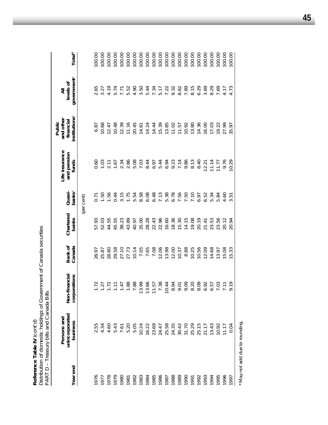Reference Table IV (cont'd)<br>Distribution of domestic holdings of Government of Canada securities<br>PART D - Treasury bills and Canada Bills *Distribution of domestic holdings of Government of Canada securities* PART D – Treasury bills and Canada Bills **Reference Table IV** *(cont'd)*

| Year end | unincorporated<br>Persons and<br>business | Non-financial<br>corporations  | Bank of<br>Canada | Chartered<br>banks | banks <sup>2</sup><br>Quasi-         | Life insurance<br>and pension<br>funds | institutions <sup>3</sup><br>and other<br>financial<br>Public | government <sup>4</sup><br>levels of<br>₹       | Total <sup>*</sup> |
|----------|-------------------------------------------|--------------------------------|-------------------|--------------------|--------------------------------------|----------------------------------------|---------------------------------------------------------------|-------------------------------------------------|--------------------|
|          |                                           |                                |                   |                    | (per cent)                           |                                        |                                                               |                                                 |                    |
|          |                                           |                                | 26.97             | 57.93              | 0.71                                 | 0.60                                   | 6.87                                                          | 2.65                                            | 100.00             |
|          |                                           |                                | 25.87             | 52.03              |                                      |                                        | 10.68                                                         | 3.27                                            | 100.00             |
|          | 2.55<br>4.34<br>4.60                      | 5 5 5 5<br>5 7 7 5             | 28.80             | 44.55              | $1.\overline{56}$                    | $1.03$<br>2.11                         | 12.47                                                         | 4.19                                            | 100.00             |
|          | 5.43                                      |                                | 29.58             | 45.55              | 0.44                                 | 1.67                                   | 10.48                                                         | 5.74                                            | 100.00             |
|          |                                           | 47                             | 27.10             | 38.23              |                                      | 2.34                                   | 12.39                                                         | 7.71                                            | 100.00             |
|          | 7.61<br>5.20<br>5.05                      | 88                             | 27.73             | 43.89              | $3.15$<br>$1.75$                     | 2.86                                   | 11.16                                                         | 5.52<br>4.90                                    | 100.00             |
|          |                                           | 88.                            | 10.14             | 40.97              | 5.54                                 | 5.08                                   | 20.45                                                         |                                                 | 100.00             |
|          | 10.24                                     | 99<br>$\stackrel{\text{C}}{=}$ | 7.05              | 35.00              | 8.58                                 | 7.03                                   | 14.61                                                         | 3.50                                            | 100.00             |
|          |                                           | 66.<br>$\mathbf{r}$            | 7.65              | 28.28              | 6.08                                 | 8.44                                   | 14.24                                                         | 5.44                                            | 100.00             |
|          |                                           | 57                             | 7.08              | 22.43              | 6.48                                 | 6.97                                   | 14.44                                                         |                                                 | 100.00             |
|          |                                           | 38                             | 12.06             | 22.96              |                                      | 5.44                                   | 15.39                                                         |                                                 | 100.00             |
|          |                                           | $\overline{4}$                 | 13.98             | 16.60              | $7.38$<br>$5.38$<br>$5.50$<br>$7.50$ | 6.94                                   | 13.85                                                         | 7 34<br>5 7 7 3 9 9<br>7 7 9 9 9 9<br>6 9 9 9 1 | 100.00             |
|          |                                           | $6\overline{2}$                | 12.00             | 18.36              |                                      | 9.23                                   | 11.02                                                         |                                                 | 100.00             |
|          |                                           | $\overline{5}$                 | 10.37             | 15.30              |                                      | 7.14                                   | 11.57                                                         |                                                 | 100.00             |
|          |                                           | SO.                            | 8.88              | 14.15              |                                      | 9.86                                   | 10.92                                                         |                                                 | 100.00             |
|          |                                           | 20                             | 10.25             | 19.08              | 7.10                                 | 8.13                                   | 13.80                                                         | 7.89<br>8.15<br>6.29                            | 100.00             |
|          |                                           | 3.09                           | 10.56             | 20.19              |                                      | 8.40                                   | 14.36                                                         |                                                 | 100.00             |
|          |                                           | 92                             | 12.09             | 21.41              | 6.52                                 | 12.21                                  | 16.00                                                         | 3.69                                            | 100.00             |
|          | 13.43                                     | 57                             | 14.68             | 23.53              | 5.34                                 | 11.14                                  | 17.03                                                         | 8.29                                            | 100.00             |
|          | 10.92                                     | $\ddot{\circ}$                 | 13.97             | 23.56              | 5.84                                 | 11.77                                  | 19.22                                                         | 7.69                                            | 100.00             |
|          | 11.17                                     | $\overleftarrow{\cdot}$        | 15.08             | 20.12              | 4.60                                 | 9.76                                   | 27.99                                                         | 4.17                                            | 100.00             |
| 1997     | 0.04                                      | 61.1                           | 15.33             | 20.94              | 3.51                                 | 10.29                                  | 35.97                                                         | 4.73                                            | 100.00             |
|          |                                           |                                |                   |                    |                                      |                                        |                                                               |                                                 |                    |

\* May not add due to rounding. \* May not add due to rounding.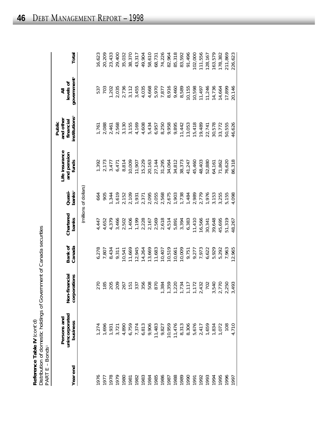| Reference Table IV (cont'd)                                         |
|---------------------------------------------------------------------|
| Distribution of domestic holdings of Government of Canada securitie |
| PART E – Bonds                                                      |

| Year end | unincorporated<br>Persons and<br>business                                                                                                                                                                                                                                                                                    | Non-financial<br>corporations                                                             | Bank of<br>Canada | Chartered<br>banks | banks <sup>2</sup><br>Quasi-                                                                                                                                                                                                                                                                                                                                                                                                                                                                                                                                              | Life insurance<br>and pension<br>funds | institutions <sup>3</sup><br>and other<br>financial<br>Public | government <sup>4</sup><br>levels of | Total   |
|----------|------------------------------------------------------------------------------------------------------------------------------------------------------------------------------------------------------------------------------------------------------------------------------------------------------------------------------|-------------------------------------------------------------------------------------------|-------------------|--------------------|---------------------------------------------------------------------------------------------------------------------------------------------------------------------------------------------------------------------------------------------------------------------------------------------------------------------------------------------------------------------------------------------------------------------------------------------------------------------------------------------------------------------------------------------------------------------------|----------------------------------------|---------------------------------------------------------------|--------------------------------------|---------|
|          |                                                                                                                                                                                                                                                                                                                              |                                                                                           |                   |                    | (millions of dollars)                                                                                                                                                                                                                                                                                                                                                                                                                                                                                                                                                     |                                        |                                                               |                                      |         |
|          |                                                                                                                                                                                                                                                                                                                              |                                                                                           | 6,278             | 4,447              | 664                                                                                                                                                                                                                                                                                                                                                                                                                                                                                                                                                                       |                                        | 1,761                                                         | 537                                  | 16,623  |
|          |                                                                                                                                                                                                                                                                                                                              |                                                                                           | 7,807             | 4,652              | 905                                                                                                                                                                                                                                                                                                                                                                                                                                                                                                                                                                       | 1,392<br>2,173                         | 2,088                                                         | 703                                  | 20,209  |
|          | 11123467696<br>1260769769696<br>126076977896                                                                                                                                                                                                                                                                                 | 270<br>185<br>205                                                                         | 8,434             | 4,379              | 1,344                                                                                                                                                                                                                                                                                                                                                                                                                                                                                                                                                                     | 3,477                                  | 2,461                                                         | 1,202                                | 23,433  |
|          |                                                                                                                                                                                                                                                                                                                              | 209                                                                                       | 9,311             | 3,466              | $\begin{array}{l} \bullet \text{ C. } \bullet \text{ C. } \bullet \text{ C. } \bullet \text{ C. } \bullet \text{ C. } \bullet \text{ C. } \bullet \text{ C. } \bullet \text{ C. } \bullet \text{ C. } \bullet \text{ C. } \bullet \text{ C. } \bullet \text{ C. } \bullet \text{ C. } \bullet \text{ C. } \bullet \text{ C. } \bullet \text{ C. } \bullet \text{ C. } \bullet \text{ C. } \bullet \text{ C. } \bullet \text{ C. } \bullet \text{ C. } \bullet \text{ C. } \bullet \text{ C. } \bullet \text{ C. } \bullet \text{ C. } \bullet \text{ C. } \bullet \text{$ |                                        | 2,568                                                         | 2,035                                | 29,400  |
|          |                                                                                                                                                                                                                                                                                                                              | 267                                                                                       | 10,541            | 2,502              |                                                                                                                                                                                                                                                                                                                                                                                                                                                                                                                                                                           | $6,471$<br>8.814                       | 3,130                                                         | 2,736                                | 35,032  |
|          |                                                                                                                                                                                                                                                                                                                              |                                                                                           | 11,669            | 1,406              |                                                                                                                                                                                                                                                                                                                                                                                                                                                                                                                                                                           | 10,009                                 | 3,155                                                         |                                      | 38,370  |
|          |                                                                                                                                                                                                                                                                                                                              | $151$<br>337                                                                              | 12,945            | 1,199              |                                                                                                                                                                                                                                                                                                                                                                                                                                                                                                                                                                           | 11,907                                 | 4,169                                                         | $3,112$<br>$3,455$                   | 43,317  |
|          |                                                                                                                                                                                                                                                                                                                              | 356                                                                                       | 14,264            | 2,228              |                                                                                                                                                                                                                                                                                                                                                                                                                                                                                                                                                                           | 15,229                                 | 4,608                                                         | 4,035                                | 49,904  |
|          |                                                                                                                                                                                                                                                                                                                              | 508                                                                                       | 13,669            | 2,167              |                                                                                                                                                                                                                                                                                                                                                                                                                                                                                                                                                                           | 20,163                                 | 5,434                                                         | 4,668                                | 58,610  |
|          |                                                                                                                                                                                                                                                                                                                              | 870<br>1,384                                                                              | 11,683            | 2,569              |                                                                                                                                                                                                                                                                                                                                                                                                                                                                                                                                                                           |                                        | 6,957                                                         |                                      | 68,731  |
|          |                                                                                                                                                                                                                                                                                                                              |                                                                                           | 10,407            | 2,618              |                                                                                                                                                                                                                                                                                                                                                                                                                                                                                                                                                                           | 27,144<br>31,295                       | 8,250                                                         | 5,970<br>7,877                       | 74,226  |
|          |                                                                                                                                                                                                                                                                                                                              |                                                                                           | 10,519            | 4,514              |                                                                                                                                                                                                                                                                                                                                                                                                                                                                                                                                                                           | 34,064                                 | 9,958                                                         | 8,916                                | 82,964  |
|          |                                                                                                                                                                                                                                                                                                                              |                                                                                           | 10,661            | 5,891              |                                                                                                                                                                                                                                                                                                                                                                                                                                                                                                                                                                           |                                        | 9,895                                                         | 9,460                                | 85,318  |
|          |                                                                                                                                                                                                                                                                                                                              |                                                                                           | 10,009            | 3,394              |                                                                                                                                                                                                                                                                                                                                                                                                                                                                                                                                                                           | 34,812<br>38,373                       | 11,442                                                        | 8,589                                | 83,592  |
|          | $\begin{array}{l} \n 11.483 \\  9.827 \\  9.674 \\  14.76 \\  15.313 \\  16.50 \\  10.67 \\  10.72 \\  10.72 \\  10.72 \\  10.72 \\  10.72 \\  10.72 \\  10.834 \\  10.72 \\  10.834 \\  10.72 \\  10.834 \\  10.72 \\  10.834 \\  10.72 \\  10.834 \\  10.72 \\  10.834 \\  10.72 \\  10.834 \\  10.72 \\  10.834 \\  10.7$ | $\begin{array}{c} 1,3559 \\ 1,220 \\ 1,734 \\ 1,117 \\ 1,117 \\ 2,432 \\ 702 \end{array}$ | 9,751             | 6,383              |                                                                                                                                                                                                                                                                                                                                                                                                                                                                                                                                                                           | 41,247                                 | 13,053                                                        | 10,155                               | 91,496  |
|          |                                                                                                                                                                                                                                                                                                                              |                                                                                           | 9,277             | 11,410             |                                                                                                                                                                                                                                                                                                                                                                                                                                                                                                                                                                           | 45,460                                 | 15,418                                                        | 10,598                               | 102,000 |
|          |                                                                                                                                                                                                                                                                                                                              |                                                                                           | 7,973             | 16,566             |                                                                                                                                                                                                                                                                                                                                                                                                                                                                                                                                                                           | 48,403                                 | 19,489                                                        | 11,497                               | 111,556 |
|          |                                                                                                                                                                                                                                                                                                                              |                                                                                           | 6,622             | 30,341             |                                                                                                                                                                                                                                                                                                                                                                                                                                                                                                                                                                           | 52,880                                 | 22,741                                                        | 11,246                               | 128,167 |
|          |                                                                                                                                                                                                                                                                                                                              |                                                                                           | 5,929             | 39,648             |                                                                                                                                                                                                                                                                                                                                                                                                                                                                                                                                                                           | 64,161                                 | 30,578                                                        | 14,736                               | 163,579 |
|          |                                                                                                                                                                                                                                                                                                                              | 3,540<br>2,770<br>2,250                                                                   | 5,292             | 45,695             |                                                                                                                                                                                                                                                                                                                                                                                                                                                                                                                                                                           | 71,862                                 | 33,772                                                        | 14,664                               | 178,382 |
| 1996     |                                                                                                                                                                                                                                                                                                                              |                                                                                           | 7,963             | 51,319             | 5,155                                                                                                                                                                                                                                                                                                                                                                                                                                                                                                                                                                     | 76,620                                 | 50,555                                                        | 17,899                               | 211,869 |
| 1997     | 4,710                                                                                                                                                                                                                                                                                                                        | 493<br>$\infty$                                                                           | 12,965            | 48,267             | 4,098                                                                                                                                                                                                                                                                                                                                                                                                                                                                                                                                                                     | 86,318                                 | 46,626                                                        | 20,146                               | 226,623 |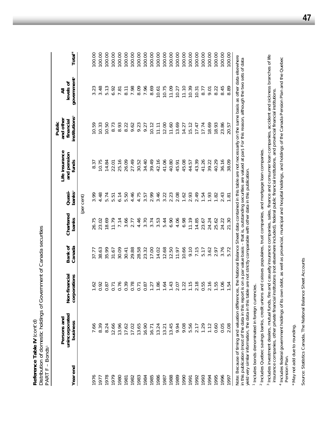Distribution of domestic holdings of Government of Canada securities *Distribution of domestic holdings of Government of Canada securities* Reference Table IV (cont'd) **Reference Table IV** *(cont'd)* PART F - Bonds PART F – Bonds1

Total<sup>\*</sup>  $00.00$ 00.00 00.00  $00.00$ 100.00 00.00 100.00 100.00 100.00 100.00 00.00 00.00 00.00  $00.00$  $00.00$  $00.00$  $00.00$ 100.00  $00.00$ 00.00 100.00 **Year end business corporations Canada banks banks**2 **funds institutions**3 **government**4 **Total**\* 00.00 1976 7.66 1.62 37.77 26.75 3.99 8.37 10.59 3.23 100.00 1977 8.39 0.92 38.63 23.02 4.48 10.75 10.33 3.48 100.00 1978 8.24 8.24 0.87 3.5.99 14.84 14.84 14.84 14.84 14.84 14.84 14.84 14.84 14.84 15.73 1979 12.66 0.71 31.67 11.79 5.51 22.01 8.73 6.92 100.00 1980 13.96 0.76 30.09 7.14 6.14 25.16 8.93 7.81 100.00 1981 17.62 0.39 30.41 3.66 5.50 26.09 8.22 8.11 100.00 1982 17.02 0.78 29.88 2.77 4.46 27.49 9.62 7.98 100.00 1983 13.65 0.71 28.58 4.46 4.75 30.52 9.23 8.09 100.00 1984 16.90 0.87 23.32 3.70 3.57 34.40 9.27 7.96 100.00 1985 16.71 1.27 17.00 3.74 2.99 39.49 10.12 8.69 100.00 1986 13.24 1.86 14.02 3.53 3.46 42.16 11.11 10.61 100.00 1987 13.21 1.64 12.68 5.44 3.22 41.06 12.00 10.75 100.00 1988 13.45 1.43 12.50 6.90 2.23 40.80 11.60 11.09 100.00 1989 1989 1989 1980 1981 1982 1982 1984 1986 1987 1988 1989 1989 1989 1989 1989 1 1990 9.08 1.22 1.0.66 6.98 1.62 1.62 1.62 1.63 1.4.27 1.1.20 100.00 1991 5.56 1.15 9.10 11.19 2.93 44.57 15.12 10.39 100.00 1992 2.17 2.18 7.15 14.85 2.49 43.39 17.47 10.31 100.00 1993 1.29 0.55 5.17 23.67 1.54 41.26 17.74 8.77 100.00 1994 1.12 2.16 3.62 24.24 1.93 39.22 18.69 9.01 100.00 1995 0.60 1.55 2.97 25.62 1.82 40.29 18.93 8.22 100.00 1996 0.05 1.06 3.76 24.22 2.43 36.16 23.86 8.45 100.00 1997 2.08 1.54 5.72 1.54 5.72 1.81 38.09 20.57 8.89 8.99 3.08 100.00 Note: Because of timing and valuation differences, the National Balance Sheet data contained in this table are not necessarily on the same basis as other data elsewhere Note: Because of timing and valuation differences, the *National Balance Sheet* data contained in this table are not necessarily on the same basis as other data elsewhere government<sup>4</sup> levels of **b** and the matricular interest of  $\alpha$  and  $\alpha$  and  $\alpha$  is a consequent of  $\alpha$  is a consequent of  $\alpha$  is a consequent of  $\alpha$  is a consequent of  $\alpha$  is  $\alpha$  of  $\alpha$  is  $\alpha$  of  $\alpha$  is  $\alpha$  of  $\alpha$  is  $\alpha$  of  $\alpha$  is 3.48 5.13 8.69 6.92 7.81  $8.11$ 7.98 8.09 7.96 10.75 11.09 10.27 11.10 10.39 8.77 9.01 8.22 8.45 8.89 23  $10.61$ 10.31 ₹ **Persons and Life insurance and other All** institutions<sup>3</sup> and other financial **Public** 10.33 10.50 8.73 8.93 8.22 9.62 9.23 9.27 12.00  $11.60$ 13.69 15.12 17.47 18.69 18.93 23.86 10.59 10.12 11.11 14.27 17.74 20.57 Life insurance and pension 10.75 25.16 26.09 27.49 30.52 34.40 39.49 42.16 41.06 40.80 45.08 44.57 43.39 41.26 39.22 40.29 36.16 8.37 14.84 45.91 38.09 funds 22.01 Quasi-4.75 2.99 3.46 2.23 2.08 2.93 2.49 banks<sup>2</sup> 3.99 5.74  $6.14$ 5.50 4.46 3.57 3.22  $1.62$ 1.93 2.43 4.48 5.51 1.54 1.82  $1.81$ (per cent) Chartered 4.46 3.74 3.53 6.90 4.06 6.98  $1.19$ banks 26.75 23.02 18.69 11.79  $7.14$ 3.66 2.77 3.70 5.44 14.85 23.67 24.24 25.62 24.22 21.30 Bank of Canada 38.63 35.99 30.09  $30.41$ 29.88 28.58 23.32 17.00 14.02  $12.68$ 12.50 11.97 10.66 9.10 7.15 5.17  $3.62$ 2.97 3.76 5.72 37.77 31.67 Non-financial corporations  $0.76$ 0.39 0.78 1.86 1.64 1.43 2.07 1.22  $1.15$  $2.18$ 0.55  $2.16$ 1.55 0.92 0.87  $0.71$  $0.71$ 0.87  $1.27$ 1.06 1.54  $1.62$ unincorporated Persons and business 8.24 12.66 13.96 17.02 13.65 16.90 13.24 13.45 9.94 9.08 5.56 2.17 1.29  $1.12$  $0.60$ 0.05 2.08 39  $17.62$  $16.71$ 13.21  $66$  $\infty$ Year end 1985 1986 1987 1988 1989 0661 1993 1995 1996 1978 1979 1982 1983 1984 1992 1994 1997 1980 1981 1991  $1976$ 1977

in this publication (most of the data in this report is on a par value basis – that is, outstanding securities are valued at par). For this reason, although the two sets of data<br>yield very similar information, the data in in this publication (most of the data in this report is on a par value basis – that is, outstanding securities are valued at par). For this reason, although the two sets of data yield very similar information, the data in this table are not strictly comparable with other data in this publication.

Includes bonds denominated in foreign currencies. Includes bonds denominated in foreign currencies.

 $\overline{ }$ 

<sup>2</sup> Includes Quebec savings banks, credit unions and caisses populaires, trust companies, and mortgage loan companies. Includes Quebec savings banks, credit unions and caisses populaires, trust companies, and mortgage loan companies. Includes investment dealers, mutual funds, fire and casualty insurance companies, sales, finance and consumer loan companies, accident and sickness branches of life Includes investment dealers, mutual funds, fire and casualty insurance companies, sales, finance and consumer loan companies, accident and sickness branches of life insurance companies, other private financial institutions (not elsewhere included), federal public financial institutions, and provincial financial institutions. insurance companies, other private financial institutions (not elsewhere included), federal public financial institutions, and provincial financial institutions. ო

<sup>4</sup> Includes federal government holdings of its own debt, as well as provincial, municipal and hospital holdings, and holdings of the Canada Pension Plan and the Quebec Includes federal government holdings of its own debt, as well as provincial, municipal and hospital holdings, and holdings of the Canada Pension Plan and the Quebec Pension Plan. Pension Plan.

May not add due to rounding \* May not add due to rounding. Source: Statistics Canada, The National Balance Sheet Accounts Source: Statistics Canada, *The National Balance Sheet Accounts*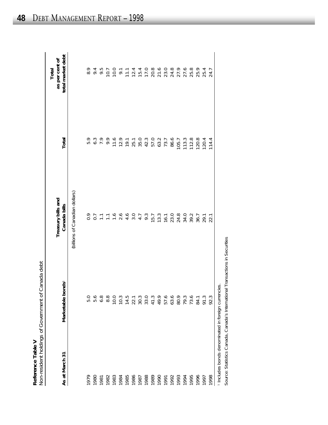| ;<br>2<br>5 | خ<br>ح<br>1<br>Non-resident holdings of Government of Canada | Reference Table V |
|-------------|--------------------------------------------------------------|-------------------|
|-------------|--------------------------------------------------------------|-------------------|

| As at March 31 | Marketable bonds1                                   | Treasury bills and<br>Canada bills | Total                            | total market debt<br>as per cent of<br>Total                                               |
|----------------|-----------------------------------------------------|------------------------------------|----------------------------------|--------------------------------------------------------------------------------------------|
|                |                                                     | (billions of Canadian dollars)     |                                  |                                                                                            |
| 1979           | 5.0                                                 |                                    | 5.9                              |                                                                                            |
| 1980           | 5.6                                                 |                                    |                                  |                                                                                            |
| 1981           | 6.8                                                 | OOTTTOOOOTOTO<br>OOTTTOOOOTOTO     |                                  | 8 9 9 0 1 1 2 3 4 5 6 7 8 7 8 7 8 7 8 7 8 7<br>8 9 9 9 1 2 3 4 5 6 7 8 7 8 7 8 7 8 7 8 7 8 |
| 1982           | 8.8                                                 |                                    |                                  |                                                                                            |
| 1983           | 10.0                                                |                                    |                                  |                                                                                            |
| 1984           | 10.3                                                |                                    |                                  |                                                                                            |
| 1985           |                                                     |                                    |                                  |                                                                                            |
| 1986           | $14.5$<br>22.1                                      |                                    |                                  |                                                                                            |
| 1987           |                                                     |                                    |                                  |                                                                                            |
| 1988           |                                                     |                                    |                                  |                                                                                            |
| 1989           | $30.399000000000$ $30.39000000$                     |                                    |                                  |                                                                                            |
| 1990           |                                                     |                                    |                                  |                                                                                            |
| 1991           |                                                     |                                    |                                  |                                                                                            |
| 1992           |                                                     | 11080217778322                     |                                  |                                                                                            |
| 1993           |                                                     |                                    |                                  |                                                                                            |
| 1994           | 80.9<br>79.3                                        |                                    |                                  |                                                                                            |
| 1995           | 73.6                                                |                                    |                                  |                                                                                            |
| 1996           | 84.1                                                |                                    | 105.7<br>113.3<br>112.8<br>120.4 |                                                                                            |
| 1997           | 91.3                                                |                                    |                                  |                                                                                            |
| 1998           | 92.3                                                |                                    | 114.4                            | 24.7                                                                                       |
|                | 1 Includes bonds denominated in foreign currencies. |                                    |                                  |                                                                                            |

Source: Statistics Canada, *Canada's International Transactions in Securities*

Source: Statistics Canada, Canada's International Transactions in Securities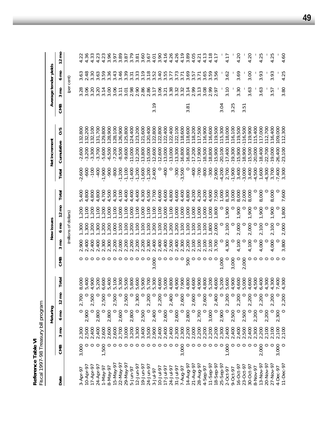Reference Table VI<br>Fiscal 1997-98 Treasury bill program *Fiscal 1997-98 Treasury bill program*  **Reference Table VI**

|                 |         |                | Maturing |         |       |         |                | New issues            |                  |         |                   | Net increment          |               |      |                                        | Average tender yields |                 |
|-----------------|---------|----------------|----------|---------|-------|---------|----------------|-----------------------|------------------|---------|-------------------|------------------------|---------------|------|----------------------------------------|-----------------------|-----------------|
| Date            | CMB     | mo<br>Ω        | g<br>∘   | Ĕ<br>2  | Total | CMB     | mo<br>$\infty$ | $6 \text{ mo}$        | $12 \text{ mo}$  | Total   | Total             | Cumulative             | $\frac{2}{5}$ | CMB  | $3 \text{ mo}$                         | $6 \text{ mO}$        | $12 \text{ mo}$ |
|                 |         |                |          |         |       |         |                | (millions of dollars) |                  |         |                   |                        |               |      | (per cent)                             |                       |                 |
| $3 - A$ pr-97   | 3,000   | 2,300          |          | 2,700   | 8,000 |         | 2,900          | ,300                  | 1,200            | 5,400   | $-2,600$          | $-2,600$               | 800<br>132,   |      | 3.28                                   |                       | 4.22            |
| $10 - Apr - 9$  |         |                | 2,900    |         | 5,400 |         | 2,400          | .300                  | 001              | 4,800   | $-600$            | $-3,200$               | 132,200       |      | 3.06                                   | $3.63$<br>$2.48$      | 4.36            |
| $17 - Apr - 97$ |         | 2,500<br>2,400 |          | 2,500   | 4,900 |         | 2,400          | ,200                  | 1,200            | 4,800   | $-100$            | $-3,300$               | 132,100       |      | 3.20                                   | 3.30                  | 4.33            |
| 24-Apr-97       |         | 2,400          | 2,800    |         | 5,200 |         | 2,400          | ,300                  | 1,100            | 4,800   | $-400$            | $-3,700$               | 31,700        |      | 3.20                                   | 3.63                  | 4.23            |
| 1-May-97        | 1,500   | 2,600          | $\circ$  | 2,500   | 6,600 |         | 2,300          | 200                   | 200              | 4,700   | $-1,900$          | $-5,600$               | 129,800       |      | 3.14                                   | 3.59                  | 4.23            |
| 8-May-97        |         | 2,600          | 2,800    |         | 5,400 |         | 2,300          | 200                   | 000              | 4,500   | <b>006-</b>       | $-6,500$               | 28,900        |      | 3.00                                   | 3.36                  | 3.96            |
| 15-May-97       |         | 2,600          | $\circ$  | 2,500   | 5,100 |         | 200            | 000                   | 100              | 4,300   | $-800$            | $-7,200$               | 128,100       |      | 3.06                                   | 3.43                  | 3.97            |
| 22-May-9        |         | 2,700          | 2,600    |         | 5,300 |         | 2,000          | 100                   | 000 <sub>1</sub> | 4,100   | $-1,200$          | $-8,500$               | 26,900        |      | 3.11                                   | 3.46                  | 3.89            |
| 29-May-9        |         | 3,000          | $\circ$  | 2,500   | 5,500 |         | 2,200          | .100                  | 100              | 400     | $-1,100$          | $-9,600$               | 125,800       |      | 3.01                                   | 3.39                  | 3.87            |
| 5-Jun-97        |         | 3,200          | 2,800    |         | 5,800 |         | 2,200          | ,200                  | 000              | 4,400   | $-1,400$          | $-11,000$              | 124,400       |      | 2.98                                   | 3.31                  | 3.79            |
| $12 - Jun-9$    |         | 3,300          | $\circ$  | 2,300   | 5,600 |         | 2,200          | 001                   | 00L'             | 4,400   | $-1,200$          | $-12,200$              | 123,200       |      | 2.90                                   | 3.33                  | 3.81            |
| 19-Jun-97       |         | 3,400          | 2,500    |         | 5,900 |         | 2,200          | 100                   | 000              | 4,300   | $-1,600$          | $-13,800$              | 121,600       |      | 2.86                                   | 3.19                  | 3.60            |
| $24 - Jun - 9$  |         | 3,500          | $\circ$  | 2,200   | 5,700 | O       | 2,300          | .100                  | 100              | 4,500   | $-1,200$          | $-15,000$              | 20,400        |      | 2.86                                   | 3.18                  | 3.67            |
| $3 - Jul - 97$  |         | 2,900          | 2,400    |         | 5,300 | 3,000   | 2,400          | .200                  | 100              | 7,700   | 2,400             | $-12,600$              | 122,800       | 3.19 | 3.17                                   | 3.52                  | 4.01            |
| $10 - Jul - 9$  |         | 2,400          | $\circ$  | 2,200   | 4,600 |         | 2,400          | 100                   | 100              | 4,600   | $\circ$           | $-12,600$              | 22,800        |      | 3.06                                   | 3.40                  | 3.90            |
| $17 - Jul - 9$  |         | 2,400          | 2,600    |         | 5,000 |         | 2,400          | <b>200</b>            | 000              | 4,600   | -400              | $-13,000$              | 22,400        |      | $3.\overline{21}$<br>$3.\overline{38}$ | 3.55                  | 4.16            |
| $24 - Jul - 9$  |         | 2,400<br>2,300 | $\circ$  | 2,400   | 4,800 |         | 2,500          | 200                   | 100              | 4,800   | $\circ$           | $-13,000$              | 22,400        |      |                                        | 3.77                  | 4.26            |
| $31 - Jul - 9$  |         |                | 2,600    | $\circ$ | 4,900 | $\circ$ | 2,400          | .200                  | 000              | 4,600   | $-300$            | $-13,300$              | 122,100       |      | 3.32                                   | 3.73                  | 4.26            |
| 7-Aug-97        | 3,000   | 2,300          | P        | 2,600   | 7,900 |         | 2,300          | .100                  | 000'l            | 4,400   | $-3,500$          | $-16,800$              | 18,600        |      | 3.32                                   | 3.71                  | 4.19            |
| 14-Aug-9        |         | 2,200          | 2,800    |         | 4,800 | 500     | 2,200          | .100                  | 000              | 4,800   | C                 | $-16,800$              | 18,600        | 3.81 | 3.14                                   | 3.69                  | 3.89            |
| 21-Aug-97       |         | 2,000          | $\circ$  | 2,600   | 4,600 |         | 2,100          | .100                  | 000, 1           | 4,200   | $-400$            | $-17,200$              | 118,200       |      | 2.99                                   | 3.57                  | 4.05            |
| 28-Aug-97       |         | 2,200          | 2,700    | $\circ$ | 4,900 |         | 2,100          | .100                  | 1,000            | 4,200   | $-700$            | $-17,900$              | 117,500       |      | 3.13                                   | 3.71                  | 4.21            |
| 4-Sep-97        |         | 2,200          | $\circ$  | 2,600   | 4,800 |         | 2,100          | .100                  | 000 <sub>1</sub> | 4,200   | $-800$            | $-18,500$              | 116,900       |      | 3.08                                   | 3.65                  | 4.13            |
| $11-5ep-9$      |         | 2,200          | 3,000    |         | 5,200 | 0       | 2,100          | .800                  | 000              | 4,900   | $-300$            | $-18,800$              | 16,600        |      | 2.99                                   | 3.59                  | 4.18            |
| 18-Sep-9        |         | 2,200          | $\circ$  | 2,400   | 4,600 | $\circ$ | 3,700          | 2,000                 | 1,800            | 7,500   | 2,900             | $-15,900$              | 119,500       |      |                                        | 3.56                  | 4.17            |
| 25-Sep-9        |         | 2,300          | 2,900    | $\circ$ | 5,200 | 1,000   | $\circ$        | $\circ$               | $\circ$          | 1,000   | $-4,200$          | $-20,100$              | 115,300       | 3.04 |                                        |                       |                 |
| 2-Oct-97        | 1,000   | 2,400          |          | 2,200   | 5,600 |         | 4,300          | 2,100                 | 1,900            | 8,300   | 2,700             | $-17,400$              | 118,000       |      | 3.10                                   | 3.62                  | 4.17            |
| 9-Oct-97        |         | 2,400          | 2,500    | $\circ$ | 4,900 | 3,000   |                | $\circ$               | O                | 3,000   | $-1,900$          | $-19,300$<br>$-15,900$ | 16,100        | 3.25 |                                        |                       |                 |
| $16 - Oct - 97$ |         | 2,400          | $\circ$  | 2,200   | 4,600 |         | 4,100          | 2,000                 | 1,900            | 8,000   | 3,400             |                        | 119,500       |      | 3.30                                   | 3.69                  | 4.20            |
| 23-Oct-97       |         | 2,500          | 2,500    | $\circ$ | 5,000 | 2,000   | $\circ$        | $\circ$               | 0                | 2,000   | $-3,000$          | $-18,900$              | 16,500        | 3.51 |                                        |                       |                 |
| $30 - Oct - 97$ |         | 2,400          |          | 2,200   | 4,600 |         | 4,100          | 2,000                 | 1,900            | 8,000   | 3,400             | $-15,500$              | 119,900       |      | 3.63                                   | 3.00                  | 4.20            |
| 8-Nov-97        |         | 2,300<br>2,200 | 2,200    | $\circ$ | 4,500 |         | $\circ$        | $\circ$               | O                | $\circ$ | $-4,500$          | $-20,000$              | 15,400        |      |                                        |                       |                 |
| $13-Nov-9$      | 2,000   |                | $\circ$  | 2,200   | 6,400 |         | 4,000          | 2,100                 | 1,900            | 8,000   | 1,600             | $-18,400$              | 17,000        |      | 3.63                                   | 3.93                  | 4.25            |
| 20-Nov-9        | 0       | 2,100          | 2,200    |         | 4,300 |         | 0              |                       |                  | $\circ$ | $-4,300$<br>3,700 | $-22,700$              | 12,700        |      |                                        |                       |                 |
| 27-Nov-9        | $\circ$ | 2,100          | $\circ$  | 2,200   | 4,300 |         | 4,000          | 2,100                 | 1,900            | 8,000   |                   | $-19,000$              | 16,400        |      | 3.57                                   | 3.93                  | 4.25            |
| 4-Dec-97        | 3,000   | 2,100          | 2,300    |         | 7,400 |         | $\circ$        |                       |                  | $\circ$ | $-7,400$          | $-26,400$              | 109,000       |      |                                        |                       |                 |
| $11-Dec-9$      |         | 2,100          |          | 2.200   | 4,300 |         | 3.800          | 2.000                 | 1.800            | 7,600   | 3,300             | $-23,100$              | 112,300       |      | 3.80                                   | 4.25                  | 4.60            |

**49**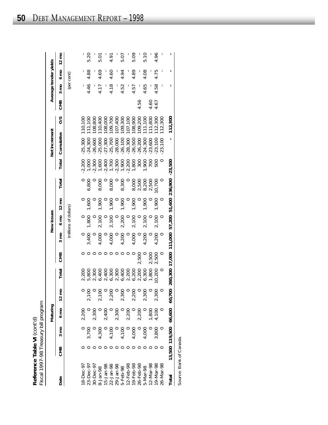| $i$ COpt $i$<br>۱.                             | -98 Treasury bill program |
|------------------------------------------------|---------------------------|
| $\frac{2}{3}$<br>ے امام<br>keterence<br>م<br>م | $1997 -$                  |

| Fiscal 1997-98 Treasury bill program<br>Reference Table VI (cont'd) |     |                                          |                |                               |                                                          |                        |                |                       |                 |                         |            |                                     |                    |      |                |                       |                 |
|---------------------------------------------------------------------|-----|------------------------------------------|----------------|-------------------------------|----------------------------------------------------------|------------------------|----------------|-----------------------|-----------------|-------------------------|------------|-------------------------------------|--------------------|------|----------------|-----------------------|-----------------|
|                                                                     |     |                                          | Maturing       |                               |                                                          |                        |                | New issues            |                 |                         |            | Net increment                       |                    |      |                | Average tender yields |                 |
| Date                                                                | CMB | $3 \text{ mo}$                           | $6 \text{ mo}$ | $12 \text{ mO}$               | Total                                                    | CMB                    | $3 \text{ mo}$ | $6 \text{ mo}$        | $12 \text{ mo}$ | Total                   | Total      | Cumulative                          | SO                 | CMB  | $3 \text{ mo}$ | $6 \text{ mo}$        | $12 \text{ mo}$ |
|                                                                     |     |                                          |                |                               |                                                          |                        |                | (millions of dollars) |                 |                         |            |                                     |                    |      |                | (per cent)            |                 |
| 18-Dec-97                                                           |     |                                          | 2,200          |                               |                                                          |                        |                |                       |                 |                         | $-2,200$   | $-25,300$                           | 10,100             |      |                |                       |                 |
| 23-Dec-97                                                           |     | 3,700                                    |                | 2,100                         | 2,200<br>5,800                                           |                        | 3,400          | 1,800                 | 1,600           | 6,800                   | 1,000      | $-24,300$                           | 11,100             |      | 4.46           | 4.88                  | 5.20            |
| 30-Dec-97                                                           |     |                                          | 2,300          |                               | 2,300                                                    | $\circ$                |                |                       |                 |                         | $-2,30C$   | 600<br>.26, 6                       | 08,800             |      |                |                       |                 |
| 8-Jan-98                                                            |     |                                          |                | 2,100                         | 6,400                                                    | $\circ$                | 4,000          | 2,100                 | 1,900           | 8,000                   | 1,60C      | $-25,000$                           | 10,400             |      | 4.17           | 4.69                  | <b>5.01</b>     |
| 15-Jan-98                                                           |     |                                          |                |                               |                                                          | $\circ$                |                |                       |                 |                         |            | $-27,300$                           | 108,000            |      |                |                       |                 |
| 22-Jan-98                                                           |     | $4,300$<br>$4,700$<br>$4,700$<br>$4,700$ |                | $2,200$<br>$2,300$<br>$2,300$ | 2,400<br>6,300                                           |                        | 4,000          | 2,100<br>0            | 1,900           | 8,000                   |            | $-25,700$<br>$-28,000$              | 109,700            |      | 4.18           | 4.60                  | 4.91            |
| 29-Jan-98                                                           |     |                                          |                |                               | 2,300                                                    |                        |                |                       |                 |                         |            |                                     |                    |      |                |                       |                 |
| 5-Feb-98                                                            |     |                                          |                |                               |                                                          | $\circ\circ\circ\circ$ | 4,200          | 2,200                 | 1,900           | 8,300                   |            | $-26,100$<br>$-28,300$<br>$-26,500$ | 107,400<br>109,300 |      | 4.52           | 4.94                  | 5.07            |
| $12 - Feb - 98$                                                     |     |                                          |                |                               |                                                          |                        |                |                       |                 |                         |            |                                     | 107,100            |      |                |                       |                 |
| 19-Feb-98                                                           |     | 4,000                                    |                | 2,200                         | 8<br>8<br>8<br>8<br>9<br>8<br>9<br>8<br>8<br>8<br>8<br>8 |                        | 4,000          | 2,100                 | 1,900           | 8,000                   | 80C        |                                     | 108,900            |      | 4.57           | 4.89                  | 5.09            |
| 26-Feb-98                                                           |     |                                          | 2,200          | $\circ$                       |                                                          | 2,500                  |                |                       |                 |                         | 30C        | $-26,200$                           | 109,200            | 4.56 |                |                       |                 |
| 5-Mar-98                                                            |     | 4,000                                    |                | 2,300                         | 6,300                                                    |                        | 4,200          | 2,100                 | 1,900           | 2,500<br>8,200<br>2,500 | 90C        | $-24,300$                           | 11,100             |      | 4.65           | 4.08                  | $\frac{0}{2}$   |
| 12-Mar-98<br>19-Mar-98                                              |     |                                          |                | $\circ$                       |                                                          | 2,500                  |                |                       |                 |                         |            | $-23,600$                           | 11,800             |      |                |                       |                 |
|                                                                     |     | 3,800                                    | 1,800<br>4,100 | 2,300                         | 1,800<br>10,200                                          | 2,500                  | 4,200          | 2,100                 | 1,900           | 10,700                  | 500<br>500 | $-23,100$                           | 12,300             | 4.67 | 4.58           | 4.75                  | 4.96            |
| 26-Mar-98                                                           |     |                                          |                |                               |                                                          |                        |                |                       |                 |                         |            | $-23,100$                           | 12,300             |      |                |                       |                 |
| Total                                                               |     | 13,500 119,500                           | 66,600         | 60,700                        |                                                          | 260,300 17,000 111,000 |                | 57,200                | 51,600          | 236,900                 | $-23,500$  | ı                                   | 112,300            |      | ı              | ı                     | ı               |
|                                                                     |     |                                          |                |                               |                                                          |                        |                |                       |                 |                         |            |                                     |                    |      |                |                       |                 |

Source: Bank of Canada. Source: Bank of Canada.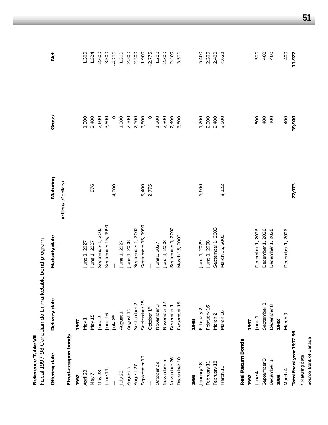| Reference Table VII       | Fiscal 1997-98 Canadian dollar marketable bond program |                     |                       |         |          |
|---------------------------|--------------------------------------------------------|---------------------|-----------------------|---------|----------|
| Offering date             | Delivery date                                          | Maturity date       | Maturing              | Gross   | Net      |
|                           |                                                        |                     | (millions of dollars) |         |          |
| Fixed-coupon bonds        |                                                        |                     |                       |         |          |
| 1997                      | 1997                                                   |                     |                       |         |          |
| April 23                  | May 1                                                  | June 1, 2027        |                       | 1,300   | 1,300    |
| Nay 7                     | May 15                                                 | June 1, 2007        | 876                   | 2,400   | 1,524    |
| May 28                    | June 2                                                 | September 1, 2002   |                       | 2,600   | 2,600    |
| June 11                   | June 16                                                | September 15, 1999  |                       | 3,500   | 3,500    |
|                           | July $2^*$                                             |                     | 4,200                 | $\circ$ | $-4,200$ |
| July 23                   | August 1                                               | June 1, 2027        |                       | 1,300   | 1,300    |
| August 6                  | August 15                                              | June 1, 2008        |                       | 2,300   | 2,300    |
| August 27                 | September 2                                            | September 1, 2002   |                       | 2,500   | 2,500    |
| September 10              | September 15                                           | September 15, 1999  | 5,400                 | 3,500   | $-1,900$ |
|                           | October 1*                                             |                     | 2,775                 | $\circ$ | $-2,775$ |
| October 29                | November 3                                             | June1, 2027         |                       | 1,200   | 1,200    |
| November 5                | November 17                                            | June 1, 2008        |                       | 2,300   | 2,300    |
| November 26               | December 1                                             | September 1, 2002   |                       | 2,400   | 2,400    |
| December 10               | December 15                                            | March 15, 2000      |                       | 3,500   | 3,500    |
| 1998                      | 1998                                                   |                     |                       |         |          |
| January 28                | February 2                                             | June 1, 2029        | 6,600                 | 1,200   | $-5,400$ |
| February 11               | February 16                                            | June 1, 2008        |                       | 2,300   | 2,300    |
| February 18               | March <sub>2</sub>                                     | September 1, 2003   |                       | 2,400   | 2,400    |
| March 11                  | March 16                                               | March 15, 2000      | 8,122                 | 3,500   | $-4,622$ |
| Real Return Bonds         |                                                        |                     |                       |         |          |
| 1997                      | 1997                                                   |                     |                       |         |          |
| June 4                    | June 9                                                 | December 1, 2026    |                       | 500     | 500      |
| September 3               | September 8                                            | December 1, 2026    |                       | 400     | 400      |
| S<br>December             | December 8                                             | 2026<br>December 1, |                       | 400     | 400      |
| 1998                      | 1998                                                   |                     |                       |         |          |
| March 4                   | March <sub>9</sub>                                     | December 1, 2026    |                       | 400     | 400      |
| Total fiscal year 1997-98 |                                                        |                     | 27,973                | 39,900  | 11,927   |
| * Maturing date           |                                                        |                     |                       |         |          |

**51**

\* Maturing date<br>Source: Bank of Canada Source: Bank of Canada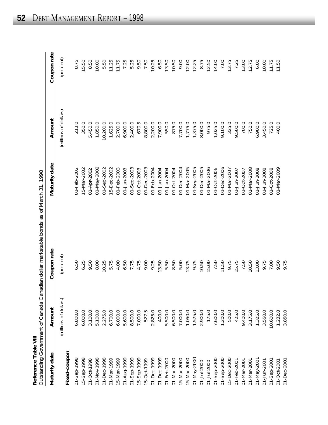|                                       | Out to downloads of the store Capacity allow which washes a below and a control of the control of the control of the control of the control of the control of the control of the control of the control of the control of the |
|---------------------------------------|-------------------------------------------------------------------------------------------------------------------------------------------------------------------------------------------------------------------------------|
|                                       |                                                                                                                                                                                                                               |
|                                       |                                                                                                                                                                                                                               |
|                                       |                                                                                                                                                                                                                               |
|                                       |                                                                                                                                                                                                                               |
|                                       |                                                                                                                                                                                                                               |
|                                       |                                                                                                                                                                                                                               |
|                                       | )<br>)<br>)<br>)                                                                                                                                                                                                              |
|                                       |                                                                                                                                                                                                                               |
|                                       |                                                                                                                                                                                                                               |
|                                       |                                                                                                                                                                                                                               |
|                                       | <u>המשטועות</u>                                                                                                                                                                                                               |
|                                       |                                                                                                                                                                                                                               |
|                                       | -<br>5<br>5<br>5<br>5<br>5<br>5                                                                                                                                                                                               |
|                                       |                                                                                                                                                                                                                               |
|                                       |                                                                                                                                                                                                                               |
|                                       |                                                                                                                                                                                                                               |
|                                       |                                                                                                                                                                                                                               |
|                                       |                                                                                                                                                                                                                               |
|                                       |                                                                                                                                                                                                                               |
|                                       |                                                                                                                                                                                                                               |
|                                       |                                                                                                                                                                                                                               |
|                                       | 1                                                                                                                                                                                                                             |
| ミンレ                                   |                                                                                                                                                                                                                               |
|                                       |                                                                                                                                                                                                                               |
|                                       |                                                                                                                                                                                                                               |
| Doforono Tablo IIII<br>יטוש בי<br>אוש | ソソ フーフ・ファン                                                                                                                                                                                                                    |
|                                       |                                                                                                                                                                                                                               |
|                                       |                                                                                                                                                                                                                               |
|                                       | )<br>)                                                                                                                                                                                                                        |

| Maturity date     | Amount                | Coupon rate | Maturity date     | Amount                | Coupon rate |
|-------------------|-----------------------|-------------|-------------------|-----------------------|-------------|
| Fixed-coupon      | (millions of dollars) | (per cent)  |                   | (millions of dollars) | (per cent)  |
| $01 - Sep - 1998$ | 6,800.0               | 6.50        | 01-Feb-2002       | 213.0                 | 8.75        |
| 15-Sep-1998       | 6,000.0               | 6.25        | 15-Mar-2002       | 350.0                 | 15.50       |
| 01-Oct-1998       | 3,100.0               | 9.50        | 01-Apr-2002       | 5,450.0               | 8.50        |
| 01-Nov-1998       | 5,100.0               | 8.00        | 01-May-2002       | 1,850.0               | 10.00       |
| 01-Dec-1998       | 2,275.0               | 10.25       | $01 -$ Sep-2002   | 10,200.0              | 5.50        |
| 01-Mar-1999       | 6,700.0               | 5.75        | 15-Dec-2002       | 1,625.0               | 11.25       |
| 15-Mar-1999       | 6,000.0               | 4.00        | 01-Feb-2003       | 2,700.0               | 11.75       |
| 01-Aug-1999       | 5,600.0               | 6.50        | 01-Jun-2003       | 6,900.0               | 7.25        |
| $01 -$ Sep-1999   | 8,500.0               | 7.75        | $01 -$ Sep-2003   | 2,400.0               | 5.25        |
| 15-Sep-1999       | 7,000.0               | 4.75        | 01-Oct-2003       | 670.5                 | 9.50        |
| 15-Oct-1999       | 527.5                 | 9.00        | 01-Dec-2003       | 8,800.0               | 7.50        |
| 01-Dec-1999       | 2,825.0               | 9.25        | 01-Feb-2004       | 2,200.0               | 10.25       |
| 01-Dec-1999       | 400.0                 | 13.50       | 01-Jun-2004       | 7,900.0               | 6.50        |
| 01-Feb-2000       | 5,500.0               | 5.50        | 01-Jun-2004       | 550.0                 | 13.50       |
| 01-Mar-2000       | 6,500.0               | 8.50        | 01-Oct-2004       | 875.0                 | 10.50       |
| 15-Mar-2000       | 7,000.0               | 5.00        | 01-Dec-2004       | 7,700.0               | 9.00        |
| 15-Mar-2000       | 1,050.0               | 13.75       | 01-Mar-2005       | 1,775.0               | 12.00       |
| 01-May-2000       | 1,575.0               | 9.75        | $01 -$ Sep-2005   | 1,375.0               | 12.25       |
| $01 - Jul - 2000$ | 2,900.0               | 10.50       | 01-Dec-2005       | 8,000.0               | 8.75        |
| 01-Jul-2000       | 175.0                 | 15.00       | 01-Mar-2006       | 975.0                 | 12.50       |
| $01 -$ Sep-2000   | 7,600.0               | 7.50        | 01-Oct-2006       | 1,025.0               | 14.00       |
| $01 -$ Sep-2000   | 1,200.0               | 11.50       | 01-Dec-2006       | 9,100.0               | 7.00        |
| 15-Dec-2000       | 500.0                 | 9.75        | 01-Mar-2007       | 325.0                 | 13.75       |
| 01-Feb-2001       | 425.0                 | 15.75       | $01 - Jun - 2007$ | 9,500.0               | 7.25        |
| 01-Mar-2001       | 9,400.0               | 7.50        | 01-Oct-2007       | 700.0                 | 13.00       |
| 01-Mar-2001       | 3,175.0               | 10.50       | 01-Mar-2008       | 750.0                 | 12.75       |
| 01-May-200        | 1,325.0               | 13.00       | 01-Jun-2008       | 6,900.0               | 6.00        |
| 01-Jun-2001       | 3,550.0               | 9.75        | 01-Jun-2008       | 3,450.0               | 10.00       |
| $01 -$ Sep-2001   | 10,600.0              | 7.00        | 01-Oct-2008       | 725.0                 | 11.75       |
| 01-Oct-2001       | 1,232.8               | 9.50        | 01-Mar-2009       | 400.0                 | 11.50       |
| 01-Dec-2001       | 3,850.0               | 9.75        |                   |                       |             |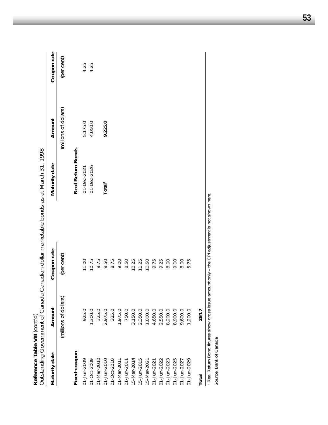| Reference Table VIII (cont'd) | Outstanding Government of Canada |             | Canadian dollar marketable bonds as at March 31, 1998 |                       |             |
|-------------------------------|----------------------------------|-------------|-------------------------------------------------------|-----------------------|-------------|
| Maturity date                 | Amount                           | Coupon rate | Maturity date                                         | Amount                | Coupon rate |
|                               | (millions of dollars)            | (per cent)  |                                                       | (millions of dollars) | (per cent)  |
| Fixed-coupon                  |                                  |             | Real Return Bonds                                     |                       |             |
| 01-Jun-2009                   | 925.0                            | 11.00       | 01-Dec-2021                                           | 5,175.0               | 4.25        |
| 01-Oct-2009                   | 1,300.0                          | 10.75       | 01-Dec-2026                                           | 4,050.0               | 4.25        |
| 01-Mar-2010                   | 325.0                            | 9.75        |                                                       |                       |             |
| 01-Jun-2010                   | 2,975.0                          | 9.50        | Total <sup>1</sup>                                    | 9,225.0               |             |
| 01-Oct-2010                   | 325.0                            | 8.75        |                                                       |                       |             |
| 01-Mar-2011                   | 1,975.0                          | 9.00        |                                                       |                       |             |
| 01-Jun-2011                   | 750.0                            | 8.50        |                                                       |                       |             |
| 5-Mar-2014                    | 3,150.0                          | 10.25       |                                                       |                       |             |
| $5 - Jun - 2015$              | 2,350.0                          | 11.25       |                                                       |                       |             |
| 5-Mar-2021                    | 1,800.0                          | 10.50       |                                                       |                       |             |
| $01 - Jun - 2021$             | 4,650.0                          | 9.75        |                                                       |                       |             |
| 01-Jun-2022                   | 2,550.0                          | 9.25        |                                                       |                       |             |
| 01-Jun-2023                   | 8,200.0                          | 8.00        |                                                       |                       |             |
| 01-Jun-2025                   | 8,900.0                          | 9.00        |                                                       |                       |             |
| 01-Jun-2027                   | 9,600.0                          | 8.00        |                                                       |                       |             |
| 01-Jun-2029                   | 1,200.0                          | 5.75        |                                                       |                       |             |
| Total                         | 284.7                            |             |                                                       |                       |             |

<sup>1</sup> Real Return Bond figures show gross issue amount only – the CPI adjustment is not shown here.<br>Source: Bank of Canada Real Return Bond figures show gross issue amount only – the CPI adjustment is not shown here.

Source: Bank of Canada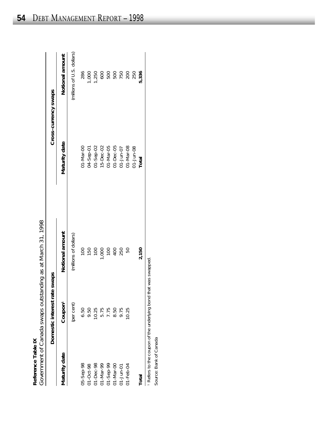|            | $\frac{1}{2}$                         |
|------------|---------------------------------------|
|            |                                       |
|            |                                       |
|            |                                       |
|            |                                       |
|            |                                       |
|            |                                       |
|            |                                       |
|            |                                       |
|            |                                       |
|            |                                       |
|            |                                       |
|            |                                       |
|            |                                       |
|            | t Canada swaps outstanding as at Marc |
|            |                                       |
|            |                                       |
|            |                                       |
|            |                                       |
|            |                                       |
|            |                                       |
|            |                                       |
|            |                                       |
|            |                                       |
|            |                                       |
|            |                                       |
|            |                                       |
|            |                                       |
|            |                                       |
| l əpplələ: | -Nuarnmant of I                       |
|            |                                       |
|            |                                       |
|            |                                       |
|            |                                       |

| Reference Table IX  |                                       | Government of Canada swaps outstanding as at March 31, 1998 |                      |                            |
|---------------------|---------------------------------------|-------------------------------------------------------------|----------------------|----------------------------|
|                     | Domestic interest rate                | swaps                                                       |                      | Cross-currency swaps       |
| Vlaturity date      | Coupon <sup>1</sup>                   | Notional amount                                             | Maturity date        | Notional amount            |
|                     | (per cent)                            | (millions of dollars)                                       |                      | (millions of U.S. dollars) |
| 05-Sep-98           | 6.50                                  | 001                                                         | $01 - \text{Mar-OO}$ | 286                        |
| $1 - Oct - 98$      | 9.50                                  | 150                                                         | 0-dep-bc             | 000                        |
| $J1-Dec-98$         |                                       | $\overline{100}$                                            | $21 - 5ep - 02$      | ,250                       |
| J1-Mar-99           | 10.25<br>5.75<br>5.75<br>9.75<br>9.75 | ,000                                                        | 15-Dec-02            |                            |
| $1 - \text{Sep-99}$ |                                       | $\overline{00}$                                             | 01-Mar-05            |                            |
| 00-MAP-00           |                                       | $^{40}$                                                     | $01 - Dec -05$       |                            |
| $1 - Jun - 01$      |                                       | 250                                                         | $51 - Jun - 07$      |                            |
| $J1 - Feb - 04$     | 10.25                                 |                                                             | 01-Mar-08            | 200                        |
|                     |                                       |                                                             | $21 - Jun-08$        | 250                        |
| <b>Total</b>        |                                       | 2,150                                                       | Total                | 5,336                      |
|                     |                                       |                                                             |                      |                            |

1 Refers to the coupon of the underlying bond that was swapped. Refers to the coupon of the underlying bond that was swapped.

Source: Bank of Canada Source: Bank of Canada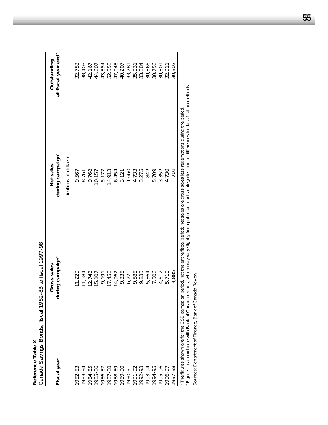| Reference Table X                          | Canada Savings Bonds, fiscal 1982-83 to fiscal 1997-98 |                                                                                                    |                                                |
|--------------------------------------------|--------------------------------------------------------|----------------------------------------------------------------------------------------------------|------------------------------------------------|
| Fiscal year                                | during campaign<br>Gross sales                         | during campaign <sup>1</sup><br>Net sales                                                          | at fiscal year end <sup>2</sup><br>Outstanding |
|                                            |                                                        | (millions of dollars)                                                                              |                                                |
| 1982-83                                    | 1,229                                                  | 9,567                                                                                              | 32,753                                         |
| 1983-84                                    | 11,584                                                 | 8,761                                                                                              | 38,403                                         |
| 1984-85                                    | 12,743                                                 | 9,768                                                                                              | 42,167                                         |
| 1985-86                                    | 15,107                                                 | 10,157                                                                                             | 44,607                                         |
| 1986-87                                    | 9,191                                                  | 5,177                                                                                              | 43,854                                         |
| 1987-88                                    | 17,450                                                 | 14,913                                                                                             | 52,558                                         |
| 1988-89                                    | 14,962                                                 | 6,454                                                                                              | 47,048                                         |
| 1989-90                                    | 9,338                                                  | 3,121                                                                                              | 40,207                                         |
| 1990-91                                    | 6,720                                                  | 1,660                                                                                              | 33,781                                         |
| 1991-92                                    | 9,588                                                  | 4,733                                                                                              | 35,031                                         |
| 1992-93                                    | 9,235                                                  | 3,275                                                                                              | 33,884                                         |
| 1993-94                                    | 5,364                                                  | 842                                                                                                | 30,866                                         |
| 1994-95                                    | ,506                                                   | 5,709                                                                                              | 30,756                                         |
| 1995-96                                    | 4,612                                                  | 3,352                                                                                              | 30,801                                         |
| 1996-97                                    | 5,710                                                  | 4,730                                                                                              | 32,911                                         |
| 1997-98                                    | 4,885                                                  | <b>701</b>                                                                                         | 30,302                                         |
| The figures shown are for the CSB campaign |                                                        | period, not the entire fiscal period; net sales are gross sales less redemptions during the period |                                                |

 The figures shown are for the CSB campaign period, not the entire fiscal period; net sales are gross sales less redemptions during the period. The ugares in accordance with Bank of Canada reports, which may vary slightly from public accounts categories due to differences in classification methods.<br><sup>2</sup> Figures in accordance with Bank of Canada reports, which may v Figures in accordance with Bank of Canada reports, which may vary slightly from public accounts categories due to differences in classification methods.

Sources: Department of Finance, Bank of Canada Review Sources: Department of Finance, *Bank of Canada Review*

**55**